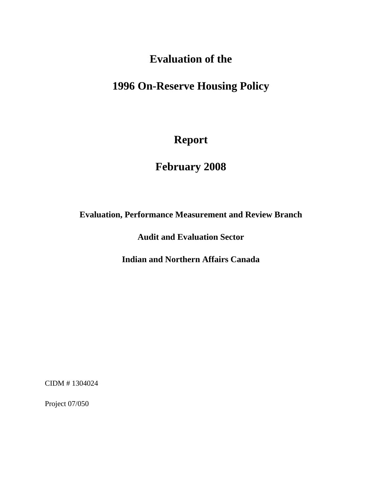# **Evaluation of the**

# **1996 On-Reserve Housing Policy**

# **Report**

# **February 2008**

## **Evaluation, Performance Measurement and Review Branch**

**Audit and Evaluation Sector** 

**Indian and Northern Affairs Canada** 

CIDM # 1304024

Project 07/050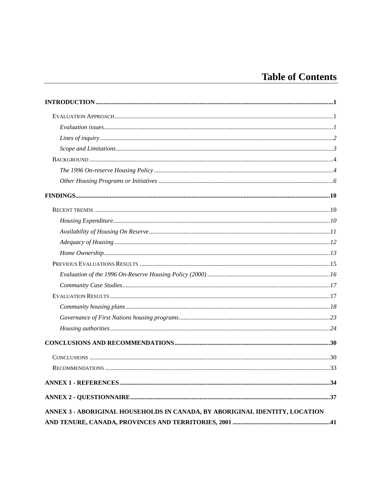# **Table of Contents**

| ANNEX 3 - ABORIGINAL HOUSEHOLDS IN CANADA, BY ABORIGINAL IDENTITY, LOCATION |  |
|-----------------------------------------------------------------------------|--|
|                                                                             |  |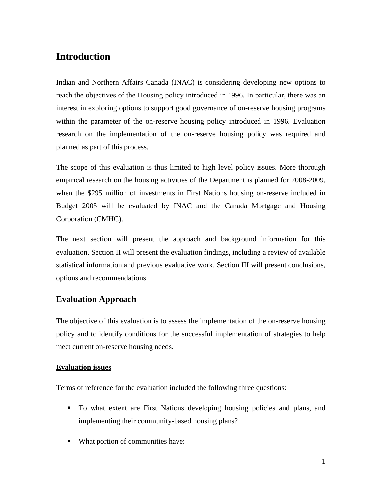## <span id="page-2-0"></span>**Introduction**

Indian and Northern Affairs Canada (INAC) is considering developing new options to reach the objectives of the Housing policy introduced in 1996. In particular, there was an interest in exploring options to support good governance of on-reserve housing programs within the parameter of the on-reserve housing policy introduced in 1996. Evaluation research on the implementation of the on-reserve housing policy was required and planned as part of this process.

The scope of this evaluation is thus limited to high level policy issues. More thorough empirical research on the housing activities of the Department is planned for 2008-2009, when the \$295 million of investments in First Nations housing on-reserve included in Budget 2005 will be evaluated by INAC and the Canada Mortgage and Housing Corporation (CMHC).

The next section will present the approach and background information for this evaluation. Section II will present the evaluation findings, including a review of available statistical information and previous evaluative work. Section III will present conclusions, options and recommendations.

## **Evaluation Approach**

The objective of this evaluation is to assess the implementation of the on-reserve housing policy and to identify conditions for the successful implementation of strategies to help meet current on-reserve housing needs.

### **Evaluation issues**

Terms of reference for the evaluation included the following three questions:

- To what extent are First Nations developing housing policies and plans, and implementing their community-based housing plans?
- What portion of communities have: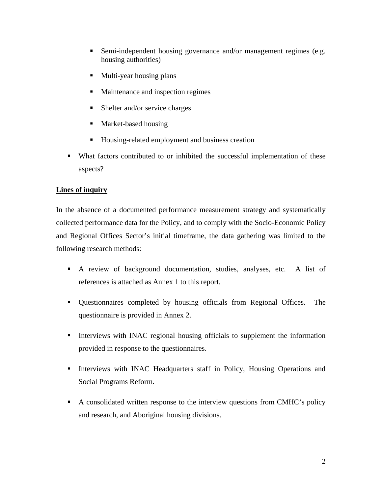- <span id="page-3-0"></span>■ Semi-independent housing governance and/or management regimes (e.g. housing authorities)
- **Multi-year housing plans**
- Maintenance and inspection regimes
- Shelter and/or service charges
- Market-based housing
- Housing-related employment and business creation
- What factors contributed to or inhibited the successful implementation of these aspects?

### **Lines of inquiry**

In the absence of a documented performance measurement strategy and systematically collected performance data for the Policy, and to comply with the Socio-Economic Policy and Regional Offices Sector's initial timeframe, the data gathering was limited to the following research methods:

- A review of background documentation, studies, analyses, etc. A list of references is attached as Annex 1 to this report.
- Questionnaires completed by housing officials from Regional Offices. The questionnaire is provided in Annex 2.
- Interviews with INAC regional housing officials to supplement the information provided in response to the questionnaires.
- Interviews with INAC Headquarters staff in Policy, Housing Operations and Social Programs Reform.
- A consolidated written response to the interview questions from CMHC's policy and research, and Aboriginal housing divisions.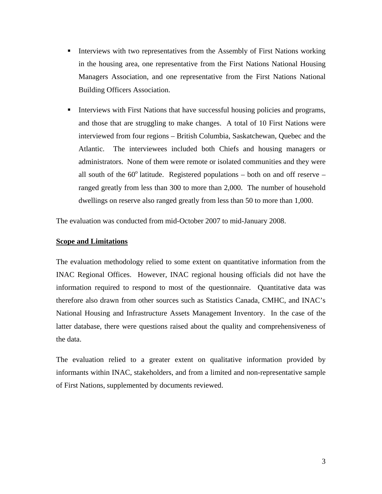- <span id="page-4-0"></span>**Interviews with two representatives from the Assembly of First Nations working** in the housing area, one representative from the First Nations National Housing Managers Association, and one representative from the First Nations National Building Officers Association.
- Interviews with First Nations that have successful housing policies and programs, and those that are struggling to make changes. A total of 10 First Nations were interviewed from four regions – British Columbia, Saskatchewan, Quebec and the Atlantic. The interviewees included both Chiefs and housing managers or administrators. None of them were remote or isolated communities and they were all south of the  $60^{\circ}$  latitude. Registered populations – both on and off reserve – ranged greatly from less than 300 to more than 2,000. The number of household dwellings on reserve also ranged greatly from less than 50 to more than 1,000.

The evaluation was conducted from mid-October 2007 to mid-January 2008.

#### **Scope and Limitations**

The evaluation methodology relied to some extent on quantitative information from the INAC Regional Offices. However, INAC regional housing officials did not have the information required to respond to most of the questionnaire. Quantitative data was therefore also drawn from other sources such as Statistics Canada, CMHC, and INAC's National Housing and Infrastructure Assets Management Inventory. In the case of the latter database, there were questions raised about the quality and comprehensiveness of the data.

The evaluation relied to a greater extent on qualitative information provided by informants within INAC, stakeholders, and from a limited and non-representative sample of First Nations, supplemented by documents reviewed.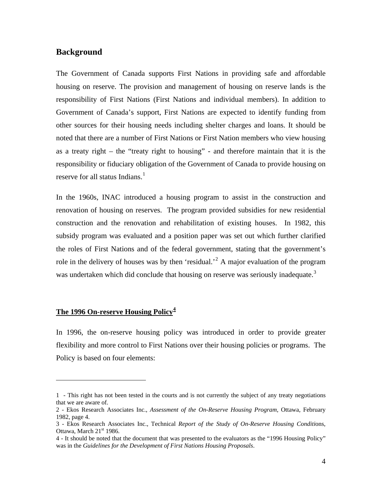#### <span id="page-5-0"></span>**Background**

The Government of Canada supports First Nations in providing safe and affordable housing on reserve. The provision and management of housing on reserve lands is the responsibility of First Nations (First Nations and individual members). In addition to Government of Canada's support, First Nations are expected to identify funding from other sources for their housing needs including shelter charges and loans. It should be noted that there are a number of First Nations or First Nation members who view housing as a treaty right – the "treaty right to housing" - and therefore maintain that it is the responsibility or fiduciary obligation of the Government of Canada to provide housing on reserve for all status Indians.<sup>[1](#page-5-1)</sup>

In the 1960s, INAC introduced a housing program to assist in the construction and renovation of housing on reserves. The program provided subsidies for new residential construction and the renovation and rehabilitation of existing houses. In 1982, this subsidy program was evaluated and a position paper was set out which further clarified the roles of First Nations and of the federal government, stating that the government's role in the delivery of houses was by then 'residual.<sup>[2](#page-5-2)</sup> A major evaluation of the program was undertaken which did conclude that housing on reserve was seriously inadequate.<sup>[3](#page-5-3)</sup>

#### **The 1996 On-reserve Housing Policy[4](#page-5-4)**

 $\overline{a}$ 

In 1996, the on-reserve housing policy was introduced in order to provide greater flexibility and more control to First Nations over their housing policies or programs. The Policy is based on four elements:

<span id="page-5-1"></span><sup>1 -</sup> This right has not been tested in the courts and is not currently the subject of any treaty negotiations that we are aware of.

<span id="page-5-2"></span><sup>2 -</sup> Ekos Research Associates Inc., *Assessment of the On-Reserve Housing Program*, Ottawa, February 1982, page 4.

<span id="page-5-3"></span><sup>3 -</sup> Ekos Research Associates Inc., Technical *Report of the Study of On-Reserve Housing Conditi*ons, Ottawa, March 21<sup>st</sup> 1986.

<span id="page-5-4"></span><sup>4 -</sup> It should be noted that the document that was presented to the evaluators as the "1996 Housing Policy" was in the *Guidelines for the Development of First Nations Housing Proposals*.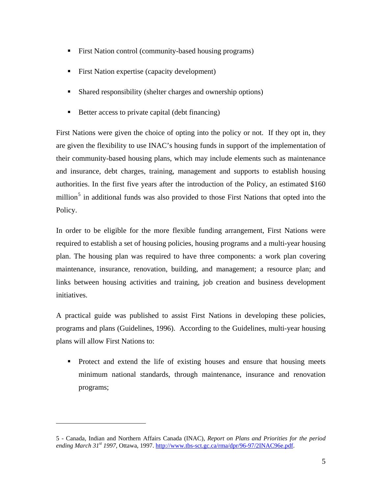- First Nation control (community-based housing programs)
- First Nation expertise (capacity development)
- Shared responsibility (shelter charges and ownership options)
- Better access to private capital (debt financing)

First Nations were given the choice of opting into the policy or not. If they opt in, they are given the flexibility to use INAC's housing funds in support of the implementation of their community-based housing plans, which may include elements such as maintenance and insurance, debt charges, training, management and supports to establish housing authorities. In the first five years after the introduction of the Policy, an estimated \$160 million<sup>[5](#page-6-0)</sup> in additional funds was also provided to those First Nations that opted into the Policy.

In order to be eligible for the more flexible funding arrangement, First Nations were required to establish a set of housing policies, housing programs and a multi-year housing plan. The housing plan was required to have three components: a work plan covering maintenance, insurance, renovation, building, and management; a resource plan; and links between housing activities and training, job creation and business development initiatives.

A practical guide was published to assist First Nations in developing these policies, programs and plans (Guidelines, 1996). According to the Guidelines, multi-year housing plans will allow First Nations to:

• Protect and extend the life of existing houses and ensure that housing meets minimum national standards, through maintenance, insurance and renovation programs;

<span id="page-6-0"></span><sup>5 -</sup> Canada, Indian and Northern Affairs Canada (INAC), *Report on Plans and Priorities for the period ending March 31st 1997*, Ottawa, 1997. <http://www.tbs-sct.gc.ca/rma/dpr/96-97/2INAC96e.pdf>.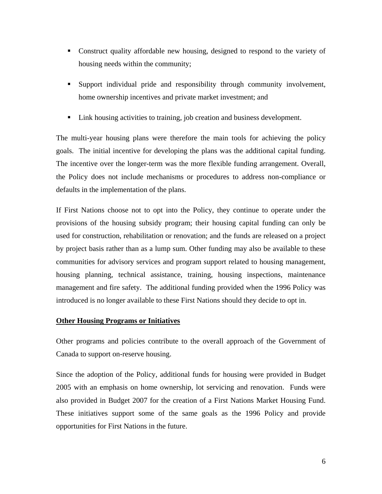- <span id="page-7-0"></span>• Construct quality affordable new housing, designed to respond to the variety of housing needs within the community;
- Support individual pride and responsibility through community involvement, home ownership incentives and private market investment; and
- Link housing activities to training, job creation and business development.

The multi-year housing plans were therefore the main tools for achieving the policy goals. The initial incentive for developing the plans was the additional capital funding. The incentive over the longer-term was the more flexible funding arrangement. Overall, the Policy does not include mechanisms or procedures to address non-compliance or defaults in the implementation of the plans.

If First Nations choose not to opt into the Policy, they continue to operate under the provisions of the housing subsidy program; their housing capital funding can only be used for construction, rehabilitation or renovation; and the funds are released on a project by project basis rather than as a lump sum. Other funding may also be available to these communities for advisory services and program support related to housing management, housing planning, technical assistance, training, housing inspections, maintenance management and fire safety. The additional funding provided when the 1996 Policy was introduced is no longer available to these First Nations should they decide to opt in.

#### **Other Housing Programs or Initiatives**

Other programs and policies contribute to the overall approach of the Government of Canada to support on-reserve housing.

Since the adoption of the Policy, additional funds for housing were provided in Budget 2005 with an emphasis on home ownership, lot servicing and renovation. Funds were also provided in Budget 2007 for the creation of a First Nations Market Housing Fund. These initiatives support some of the same goals as the 1996 Policy and provide opportunities for First Nations in the future.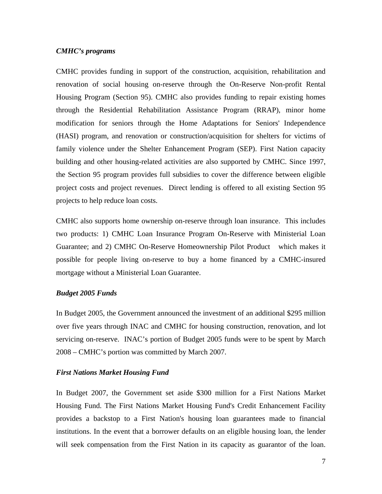#### *CMHC's programs*

CMHC provides funding in support of the construction, acquisition, rehabilitation and renovation of social housing on-reserve through the On-Reserve Non-profit Rental Housing Program (Section 95). CMHC also provides funding to repair existing homes through the Residential Rehabilitation Assistance Program (RRAP), minor home modification for seniors through the Home Adaptations for Seniors' Independence (HASI) program, and renovation or construction/acquisition for shelters for victims of family violence under the Shelter Enhancement Program (SEP). First Nation capacity building and other housing-related activities are also supported by CMHC. Since 1997, the Section 95 program provides full subsidies to cover the difference between eligible project costs and project revenues. Direct lending is offered to all existing Section 95 projects to help reduce loan costs.

CMHC also supports home ownership on-reserve through loan insurance. This includes two products: 1) CMHC Loan Insurance Program On-Reserve with Ministerial Loan Guarantee; and 2) CMHC On-Reserve Homeownership Pilot Product which makes it possible for people living on-reserve to buy a home financed by a CMHC-insured mortgage without a Ministerial Loan Guarantee.

#### *Budget 2005 Funds*

In Budget 2005, the Government announced the investment of an additional \$295 million over five years through INAC and CMHC for housing construction, renovation, and lot servicing on-reserve. INAC's portion of Budget 2005 funds were to be spent by March 2008 – CMHC's portion was committed by March 2007.

#### *First Nations Market Housing Fund*

In Budget 2007, the Government set aside \$300 million for a First Nations Market Housing Fund. The First Nations Market Housing Fund's Credit Enhancement Facility provides a backstop to a First Nation's housing loan guarantees made to financial institutions. In the event that a borrower defaults on an eligible housing loan, the lender will seek compensation from the First Nation in its capacity as guarantor of the loan.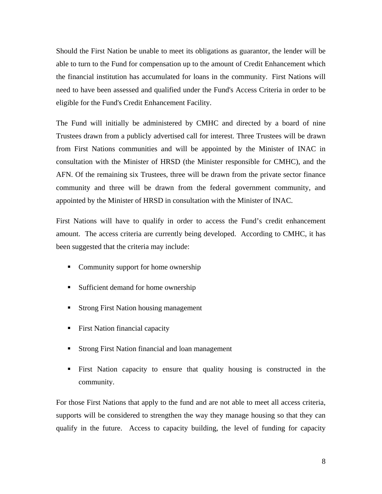Should the First Nation be unable to meet its obligations as guarantor, the lender will be able to turn to the Fund for compensation up to the amount of Credit Enhancement which the financial institution has accumulated for loans in the community. First Nations will need to have been assessed and qualified under the Fund's Access Criteria in order to be eligible for the Fund's Credit Enhancement Facility.

The Fund will initially be administered by CMHC and directed by a board of nine Trustees drawn from a publicly advertised call for interest. Three Trustees will be drawn from First Nations communities and will be appointed by the Minister of INAC in consultation with the Minister of HRSD (the Minister responsible for CMHC), and the AFN. Of the remaining six Trustees, three will be drawn from the private sector finance community and three will be drawn from the federal government community, and appointed by the Minister of HRSD in consultation with the Minister of INAC.

First Nations will have to qualify in order to access the Fund's credit enhancement amount. The access criteria are currently being developed. According to CMHC, it has been suggested that the criteria may include:

- Community support for home ownership
- **Sufficient demand for home ownership**
- Strong First Nation housing management
- First Nation financial capacity
- **Strong First Nation financial and loan management**
- First Nation capacity to ensure that quality housing is constructed in the community.

For those First Nations that apply to the fund and are not able to meet all access criteria, supports will be considered to strengthen the way they manage housing so that they can qualify in the future. Access to capacity building, the level of funding for capacity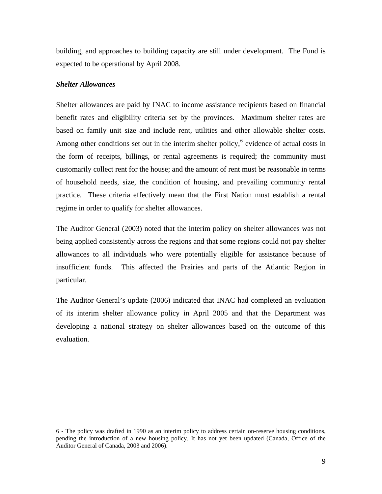<span id="page-10-0"></span>building, and approaches to building capacity are still under development. The Fund is expected to be operational by April 2008.

#### *Shelter Allowances*

 $\overline{a}$ 

Shelter allowances are paid by INAC to income assistance recipients based on financial benefit rates and eligibility criteria set by the provinces. Maximum shelter rates are based on family unit size and include rent, utilities and other allowable shelter costs. Among other conditions set out in the interim shelter policy, $6$  evidence of actual costs in the form of receipts, billings, or rental agreements is required; the community must customarily collect rent for the house; and the amount of rent must be reasonable in terms of household needs, size, the condition of housing, and prevailing community rental practice. These criteria effectively mean that the First Nation must establish a rental regime in order to qualify for shelter allowances.

The Auditor General (2003) noted that the interim policy on shelter allowances was not being applied consistently across the regions and that some regions could not pay shelter allowances to all individuals who were potentially eligible for assistance because of insufficient funds. This affected the Prairies and parts of the Atlantic Region in particular.

The Auditor General's update (2006) indicated that INAC had completed an evaluation of its interim shelter allowance policy in April 2005 and that the Department was developing a national strategy on shelter allowances based on the outcome of this evaluation.

<sup>6 -</sup> The policy was drafted in 1990 as an interim policy to address certain on-reserve housing conditions, pending the introduction of a new housing policy. It has not yet been updated (Canada, Office of the Auditor General of Canada, 2003 and 2006).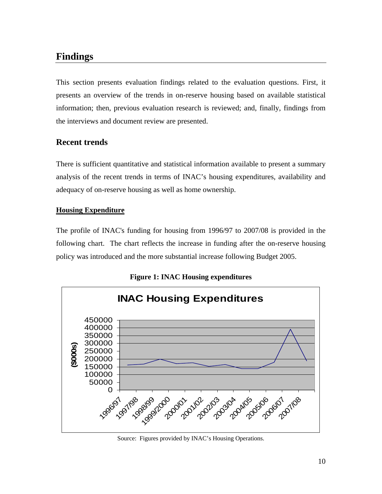## <span id="page-11-0"></span>**Findings**

This section presents evaluation findings related to the evaluation questions. First, it presents an overview of the trends in on-reserve housing based on available statistical information; then, previous evaluation research is reviewed; and, finally, findings from the interviews and document review are presented.

## **Recent trends**

There is sufficient quantitative and statistical information available to present a summary analysis of the recent trends in terms of INAC's housing expenditures, availability and adequacy of on-reserve housing as well as home ownership.

### **Housing Expenditure**

The profile of INAC's funding for housing from 1996/97 to 2007/08 is provided in the following chart. The chart reflects the increase in funding after the on-reserve housing policy was introduced and the more substantial increase following Budget 2005.



**Figure 1: INAC Housing expenditures** 

Source: Figures provided by INAC's Housing Operations.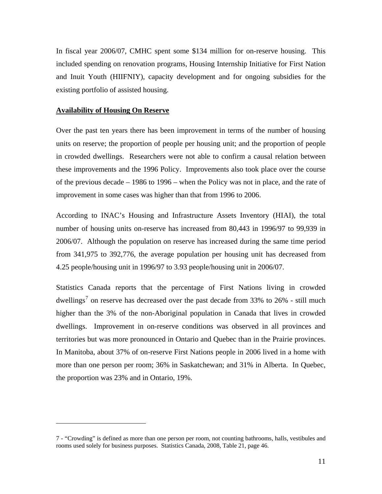<span id="page-12-0"></span>In fiscal year 2006/07, CMHC spent some \$134 million for on-reserve housing. This included spending on renovation programs, Housing Internship Initiative for First Nation and Inuit Youth (HIIFNIY), capacity development and for ongoing subsidies for the existing portfolio of assisted housing.

#### **Availability of Housing On Reserve**

<u>.</u>

Over the past ten years there has been improvement in terms of the number of housing units on reserve; the proportion of people per housing unit; and the proportion of people in crowded dwellings. Researchers were not able to confirm a causal relation between these improvements and the 1996 Policy. Improvements also took place over the course of the previous decade – 1986 to 1996 – when the Policy was not in place, and the rate of improvement in some cases was higher than that from 1996 to 2006.

According to INAC's Housing and Infrastructure Assets Inventory (HIAI), the total number of housing units on-reserve has increased from 80,443 in 1996/97 to 99,939 in 2006/07. Although the population on reserve has increased during the same time period from 341,975 to 392,776, the average population per housing unit has decreased from 4.25 people/housing unit in 1996/97 to 3.93 people/housing unit in 2006/07.

Statistics Canada reports that the percentage of First Nations living in crowded dwellings<sup>[7](#page-12-0)</sup> on reserve has decreased over the past decade from 33% to 26% - still much higher than the 3% of the non-Aboriginal population in Canada that lives in crowded dwellings. Improvement in on-reserve conditions was observed in all provinces and territories but was more pronounced in Ontario and Quebec than in the Prairie provinces. In Manitoba, about 37% of on-reserve First Nations people in 2006 lived in a home with more than one person per room; 36% in Saskatchewan; and 31% in Alberta. In Quebec, the proportion was 23% and in Ontario, 19%.

<sup>7 - &</sup>quot;Crowding" is defined as more than one person per room, not counting bathrooms, halls, vestibules and rooms used solely for business purposes. Statistics Canada, 2008, Table 21, page 46.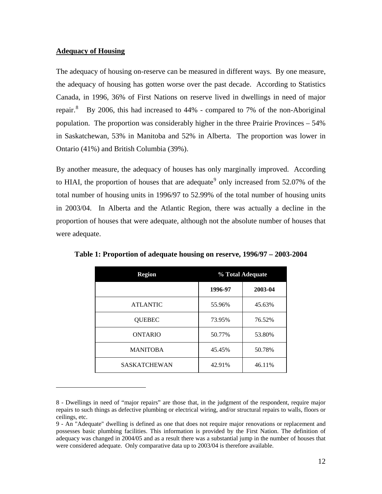#### <span id="page-13-0"></span>**Adequacy of Housing**

 $\overline{a}$ 

The adequacy of housing on-reserve can be measured in different ways. By one measure, the adequacy of housing has gotten worse over the past decade. According to Statistics Canada, in 1996, 36% of First Nations on reserve lived in dwellings in need of major repair.<sup>[8](#page-13-0)</sup> By 2006, this had increased to 44% - compared to 7% of the non-Aboriginal population. The proportion was considerably higher in the three Prairie Provinces – 54% in Saskatchewan, 53% in Manitoba and 52% in Alberta. The proportion was lower in Ontario (41%) and British Columbia (39%).

By another measure, the adequacy of houses has only marginally improved. According to HIAI, the proportion of houses that are adequate<sup>[9](#page-13-0)</sup> only increased from  $52.07\%$  of the total number of housing units in 1996/97 to 52.99% of the total number of housing units in 2003/04. In Alberta and the Atlantic Region, there was actually a decline in the proportion of houses that were adequate, although not the absolute number of houses that were adequate.

| <b>Region</b>       | % Total Adequate |         |
|---------------------|------------------|---------|
|                     | 1996-97          | 2003-04 |
| <b>ATLANTIC</b>     | 55.96%           | 45.63%  |
| <b>QUEBEC</b>       | 73.95%           | 76.52%  |
| <b>ONTARIO</b>      | 50.77%           | 53.80%  |
| <b>MANITOBA</b>     | 45.45%           | 50.78%  |
| <b>SASKATCHEWAN</b> | 42.91%           | 46.11%  |

**Table 1: Proportion of adequate housing on reserve, 1996/97 – 2003-2004** 

<sup>8 -</sup> Dwellings in need of "major repairs" are those that, in the judgment of the respondent, require major repairs to such things as defective plumbing or electrical wiring, and/or structural repairs to walls, floors or ceilings, etc.

<sup>9 -</sup> An "Adequate" dwelling is defined as one that does not require major renovations or replacement and possesses basic plumbing facilities. This information is provided by the First Nation. The definition of adequacy was changed in 2004/05 and as a result there was a substantial jump in the number of houses that were considered adequate. Only comparative data up to 2003/04 is therefore available.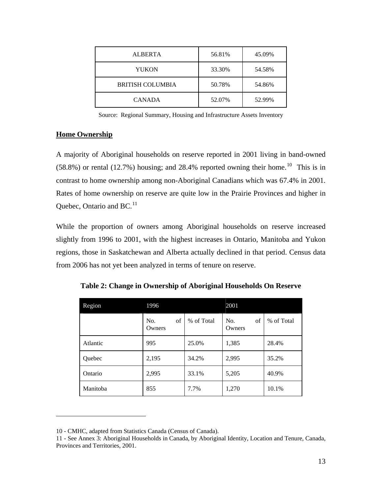<span id="page-14-0"></span>

| ALBERTA          | 56.81% | 45.09% |
|------------------|--------|--------|
| YUKON            | 33.30% | 54.58% |
| BRITISH COLUMBIA | 50.78% | 54.86% |
| <b>CANADA</b>    | 52.07% | 52.99% |

Source: Regional Summary, Housing and Infrastructure Assets Inventory

#### **Home Ownership**

 $\overline{a}$ 

A majority of Aboriginal households on reserve reported in 2001 living in band-owned  $(58.8%)$  or rental  $(12.7%)$  housing; and 28.4% reported owning their home.<sup>[10](#page-14-0)</sup> This is in contrast to home ownership among non-Aboriginal Canadians which was 67.4% in 2001. Rates of home ownership on reserve are quite low in the Prairie Provinces and higher in Quebec, Ontario and BC.<sup>[11](#page-14-0)</sup>

While the proportion of owners among Aboriginal households on reserve increased slightly from 1996 to 2001, with the highest increases in Ontario, Manitoba and Yukon regions, those in Saskatchewan and Alberta actually declined in that period. Census data from 2006 has not yet been analyzed in terms of tenure on reserve.

| Region   | 1996                |            | 2001                |            |
|----------|---------------------|------------|---------------------|------------|
|          | of<br>No.<br>Owners | % of Total | of<br>No.<br>Owners | % of Total |
| Atlantic | 995                 | 25.0%      | 1,385               | 28.4%      |
| Quebec   | 2,195               | 34.2%      | 2,995               | 35.2%      |
| Ontario  | 2,995               | 33.1%      | 5,205               | 40.9%      |
| Manitoba | 855                 | 7.7%       | 1,270               | 10.1%      |

**Table 2: Change in Ownership of Aboriginal Households On Reserve** 

<sup>10 -</sup> CMHC, adapted from Statistics Canada (Census of Canada).

<sup>11 -</sup> See Annex 3: Aboriginal Households in Canada, by Aboriginal Identity, Location and Tenure, Canada, Provinces and Territories, 2001.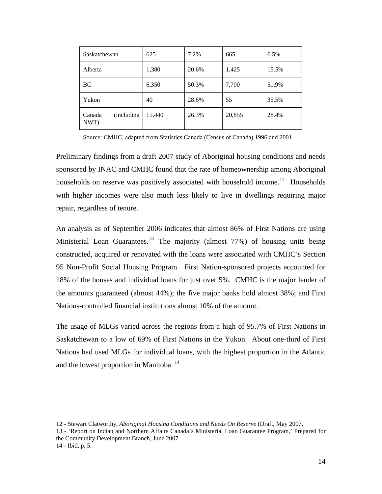<span id="page-15-0"></span>

| Saskatchewan                  | 625    | 7.2%  | 665    | 6.5%  |
|-------------------------------|--------|-------|--------|-------|
| Alberta                       | 1,380  | 20.6% | 1,425  | 15.5% |
| BC                            | 6,350  | 50.3% | 7,790  | 51.9% |
| Yukon                         | 40     | 28.6% | 55     | 35.5% |
| (including)<br>Canada<br>NWT) | 15,440 | 26.3% | 20,855 | 28.4% |

Source: CMHC, adapted from Statistics Canada (Census of Canada) 1996 and 2001

Preliminary findings from a draft 2007 study of Aboriginal housing conditions and needs sponsored by INAC and CMHC found that the rate of homeownership among Aboriginal households on reserve was positively associated with household income.<sup>[12](#page-15-0)</sup> Households with higher incomes were also much less likely to live in dwellings requiring major repair, regardless of tenure.

An analysis as of September 2006 indicates that almost 86% of First Nations are using Ministerial Loan Guarantees.<sup>[13](#page-15-0)</sup> The majority (almost  $77\%$ ) of housing units being constructed, acquired or renovated with the loans were associated with CMHC's Section 95 Non-Profit Social Housing Program. First Nation-sponsored projects accounted for 18% of the houses and individual loans for just over 5%. CMHC is the major lender of the amounts guaranteed (almost 44%); the five major banks hold almost 38%; and First Nations-controlled financial institutions almost 10% of the amount.

The usage of MLGs varied across the regions from a high of 95.7% of First Nations in Saskatchewan to a low of 69% of First Nations in the Yukon. About one-third of First Nations had used MLGs for individual loans, with the highest proportion in the Atlantic and the lowest proportion in Manitoba.<sup>[14](#page-15-0)</sup>

1

<sup>12 -</sup> Stewart Clatworthy, *Aboriginal Housing Conditions and Needs On Reserve* (Draft, May 2007.

<sup>13 - &#</sup>x27;Report on Indian and Northern Affairs Canada's Ministerial Loan Guarantee Program,' Prepared for the Community Development Branch, June 2007. 14 - Ibid, p. 5.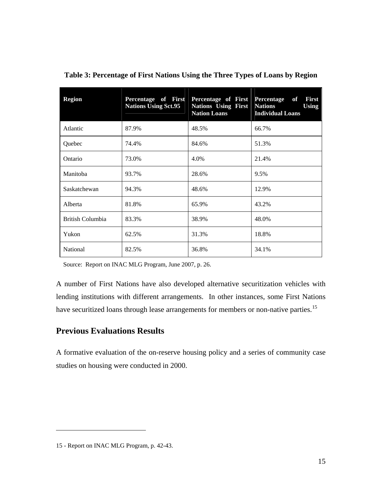| <b>Region</b>    | Percentage of First<br><b>Nations Using Sct.95</b> | Percentage of First<br><b>Nations Using First</b><br><b>Nation Loans</b> | Percentage<br>of<br><b>First</b><br><b>Nations</b><br><b>Using</b><br><b>Individual Loans</b> |
|------------------|----------------------------------------------------|--------------------------------------------------------------------------|-----------------------------------------------------------------------------------------------|
| Atlantic         | 87.9%                                              | 48.5%                                                                    | 66.7%                                                                                         |
| Quebec           | 74.4%                                              | 84.6%                                                                    | 51.3%                                                                                         |
| Ontario          | 73.0%                                              | 4.0%                                                                     | 21.4%                                                                                         |
| Manitoba         | 93.7%                                              | 28.6%                                                                    | 9.5%                                                                                          |
| Saskatchewan     | 94.3%                                              | 48.6%                                                                    | 12.9%                                                                                         |
| Alberta          | 81.8%                                              | 65.9%                                                                    | 43.2%                                                                                         |
| British Columbia | 83.3%                                              | 38.9%                                                                    | 48.0%                                                                                         |
| Yukon            | 62.5%                                              | 31.3%                                                                    | 18.8%                                                                                         |
| National         | 82.5%                                              | 36.8%                                                                    | 34.1%                                                                                         |

<span id="page-16-0"></span>**Table 3: Percentage of First Nations Using the Three Types of Loans by Region** 

Source: Report on INAC MLG Program, June 2007, p. 26.

A number of First Nations have also developed alternative securitization vehicles with lending institutions with different arrangements. In other instances, some First Nations have securitized loans through lease arrangements for members or non-native parties.<sup>[15](#page-16-0)</sup>

## **Previous Evaluations Results**

A formative evaluation of the on-reserve housing policy and a series of community case studies on housing were conducted in 2000.

<sup>15 -</sup> Report on INAC MLG Program, p. 42-43.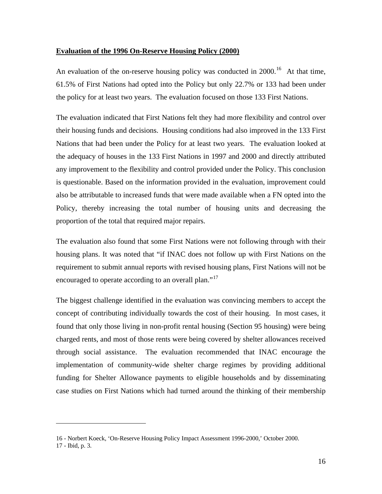#### <span id="page-17-0"></span>**Evaluation of the 1996 On-Reserve Housing Policy (2000)**

An evaluation of the on-reserve housing policy was conducted in  $2000$ .<sup>[16](#page-17-0)</sup> At that time, 61.5% of First Nations had opted into the Policy but only 22.7% or 133 had been under the policy for at least two years. The evaluation focused on those 133 First Nations.

The evaluation indicated that First Nations felt they had more flexibility and control over their housing funds and decisions. Housing conditions had also improved in the 133 First Nations that had been under the Policy for at least two years. The evaluation looked at the adequacy of houses in the 133 First Nations in 1997 and 2000 and directly attributed any improvement to the flexibility and control provided under the Policy. This conclusion is questionable. Based on the information provided in the evaluation, improvement could also be attributable to increased funds that were made available when a FN opted into the Policy, thereby increasing the total number of housing units and decreasing the proportion of the total that required major repairs.

The evaluation also found that some First Nations were not following through with their housing plans. It was noted that "if INAC does not follow up with First Nations on the requirement to submit annual reports with revised housing plans, First Nations will not be encouraged to operate according to an overall plan."<sup>[17](#page-17-0)</sup>

The biggest challenge identified in the evaluation was convincing members to accept the concept of contributing individually towards the cost of their housing. In most cases, it found that only those living in non-profit rental housing (Section 95 housing) were being charged rents, and most of those rents were being covered by shelter allowances received through social assistance. The evaluation recommended that INAC encourage the implementation of community-wide shelter charge regimes by providing additional funding for Shelter Allowance payments to eligible households and by disseminating case studies on First Nations which had turned around the thinking of their membership

<sup>16 -</sup> Norbert Koeck, 'On-Reserve Housing Policy Impact Assessment 1996-2000,' October 2000.

<sup>17 -</sup> Ibid, p. 3.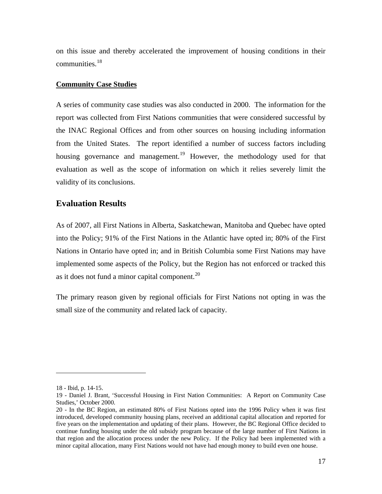<span id="page-18-0"></span>on this issue and thereby accelerated the improvement of housing conditions in their communities.[18](#page-18-0)

#### **Community Case Studies**

A series of community case studies was also conducted in 2000. The information for the report was collected from First Nations communities that were considered successful by the INAC Regional Offices and from other sources on housing including information from the United States. The report identified a number of success factors including housing governance and management.<sup>[19](#page-18-0)</sup> However, the methodology used for that evaluation as well as the scope of information on which it relies severely limit the validity of its conclusions.

### **Evaluation Results**

As of 2007, all First Nations in Alberta, Saskatchewan, Manitoba and Quebec have opted into the Policy; 91% of the First Nations in the Atlantic have opted in; 80% of the First Nations in Ontario have opted in; and in British Columbia some First Nations may have implemented some aspects of the Policy, but the Region has not enforced or tracked this as it does not fund a minor capital component.<sup>[20](#page-18-0)</sup>

The primary reason given by regional officials for First Nations not opting in was the small size of the community and related lack of capacity.

<sup>18 -</sup> Ibid, p. 14-15.

<sup>19 -</sup> Daniel J. Brant, 'Successful Housing in First Nation Communities: A Report on Community Case Studies,' October 2000.

<sup>20 -</sup> In the BC Region, an estimated 80% of First Nations opted into the 1996 Policy when it was first introduced, developed community housing plans, received an additional capital allocation and reported for five years on the implementation and updating of their plans. However, the BC Regional Office decided to continue funding housing under the old subsidy program because of the large number of First Nations in that region and the allocation process under the new Policy. If the Policy had been implemented with a minor capital allocation, many First Nations would not have had enough money to build even one house.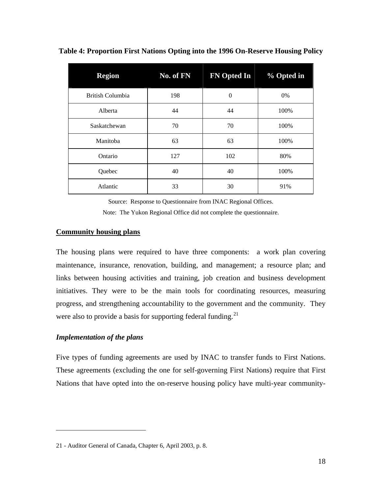| <b>Region</b>           | No. of FN | <b>FN Opted In</b> | % Opted in |
|-------------------------|-----------|--------------------|------------|
| <b>British Columbia</b> | 198       | $\theta$           | 0%         |
| Alberta                 | 44        | 44                 | 100%       |
| Saskatchewan            | 70        | 70                 | 100%       |
| Manitoba                | 63        | 63                 | 100%       |
| Ontario                 | 127       | 102                | 80%        |
| Quebec                  | 40        | 40                 | 100%       |
| Atlantic                | 33        | 30                 | 91%        |

<span id="page-19-0"></span>**Table 4: Proportion First Nations Opting into the 1996 On-Reserve Housing Policy** 

Source: Response to Questionnaire from INAC Regional Offices. Note: The Yukon Regional Office did not complete the questionnaire.

#### **Community housing plans**

The housing plans were required to have three components: a work plan covering maintenance, insurance, renovation, building, and management; a resource plan; and links between housing activities and training, job creation and business development initiatives. They were to be the main tools for coordinating resources, measuring progress, and strengthening accountability to the government and the community. They were also to provide a basis for supporting federal funding.<sup>[21](#page-19-0)</sup>

#### *Implementation of the plans*

 $\overline{a}$ 

Five types of funding agreements are used by INAC to transfer funds to First Nations. These agreements (excluding the one for self-governing First Nations) require that First Nations that have opted into the on-reserve housing policy have multi-year community-

<sup>21 -</sup> Auditor General of Canada, Chapter 6, April 2003, p. 8.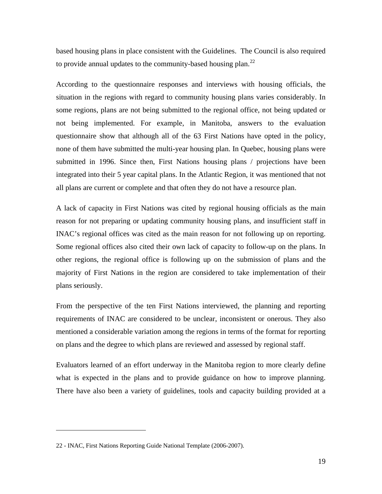<span id="page-20-0"></span>based housing plans in place consistent with the Guidelines. The Council is also required to provide annual updates to the community-based housing plan.<sup>[22](#page-20-0)</sup>

According to the questionnaire responses and interviews with housing officials, the situation in the regions with regard to community housing plans varies considerably. In some regions, plans are not being submitted to the regional office, not being updated or not being implemented. For example, in Manitoba, answers to the evaluation questionnaire show that although all of the 63 First Nations have opted in the policy, none of them have submitted the multi-year housing plan. In Quebec, housing plans were submitted in 1996. Since then, First Nations housing plans / projections have been integrated into their 5 year capital plans. In the Atlantic Region, it was mentioned that not all plans are current or complete and that often they do not have a resource plan.

A lack of capacity in First Nations was cited by regional housing officials as the main reason for not preparing or updating community housing plans, and insufficient staff in INAC's regional offices was cited as the main reason for not following up on reporting. Some regional offices also cited their own lack of capacity to follow-up on the plans. In other regions, the regional office is following up on the submission of plans and the majority of First Nations in the region are considered to take implementation of their plans seriously.

From the perspective of the ten First Nations interviewed, the planning and reporting requirements of INAC are considered to be unclear, inconsistent or onerous. They also mentioned a considerable variation among the regions in terms of the format for reporting on plans and the degree to which plans are reviewed and assessed by regional staff.

Evaluators learned of an effort underway in the Manitoba region to more clearly define what is expected in the plans and to provide guidance on how to improve planning. There have also been a variety of guidelines, tools and capacity building provided at a

<sup>22 -</sup> INAC, First Nations Reporting Guide National Template (2006-2007).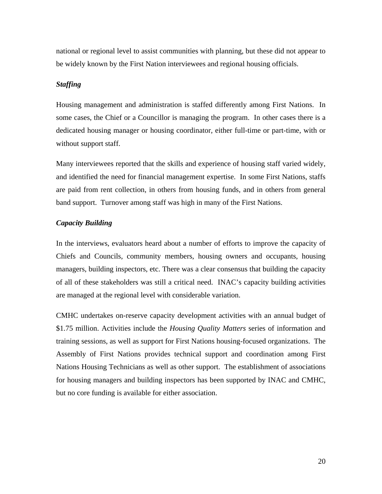national or regional level to assist communities with planning, but these did not appear to be widely known by the First Nation interviewees and regional housing officials.

#### *Staffing*

Housing management and administration is staffed differently among First Nations. In some cases, the Chief or a Councillor is managing the program. In other cases there is a dedicated housing manager or housing coordinator, either full-time or part-time, with or without support staff.

Many interviewees reported that the skills and experience of housing staff varied widely, and identified the need for financial management expertise. In some First Nations, staffs are paid from rent collection, in others from housing funds, and in others from general band support. Turnover among staff was high in many of the First Nations.

#### *Capacity Building*

In the interviews, evaluators heard about a number of efforts to improve the capacity of Chiefs and Councils, community members, housing owners and occupants, housing managers, building inspectors, etc. There was a clear consensus that building the capacity of all of these stakeholders was still a critical need. INAC's capacity building activities are managed at the regional level with considerable variation.

CMHC undertakes on-reserve capacity development activities with an annual budget of \$1.75 million. Activities include the *Housing Quality Matters* series of information and training sessions, as well as support for First Nations housing-focused organizations. The Assembly of First Nations provides technical support and coordination among First Nations Housing Technicians as well as other support. The establishment of associations for housing managers and building inspectors has been supported by INAC and CMHC, but no core funding is available for either association.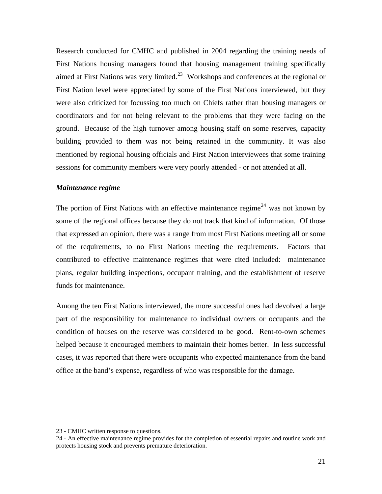<span id="page-22-0"></span>Research conducted for CMHC and published in 2004 regarding the training needs of First Nations housing managers found that housing management training specifically aimed at First Nations was very limited.<sup>[23](#page-22-0)</sup> Workshops and conferences at the regional or First Nation level were appreciated by some of the First Nations interviewed, but they were also criticized for focussing too much on Chiefs rather than housing managers or coordinators and for not being relevant to the problems that they were facing on the ground. Because of the high turnover among housing staff on some reserves, capacity building provided to them was not being retained in the community. It was also mentioned by regional housing officials and First Nation interviewees that some training sessions for community members were very poorly attended - or not attended at all.

#### *Maintenance regime*

The portion of First Nations with an effective maintenance regime<sup>[24](#page-22-0)</sup> was not known by some of the regional offices because they do not track that kind of information. Of those that expressed an opinion, there was a range from most First Nations meeting all or some of the requirements, to no First Nations meeting the requirements. Factors that contributed to effective maintenance regimes that were cited included: maintenance plans, regular building inspections, occupant training, and the establishment of reserve funds for maintenance.

Among the ten First Nations interviewed, the more successful ones had devolved a large part of the responsibility for maintenance to individual owners or occupants and the condition of houses on the reserve was considered to be good. Rent-to-own schemes helped because it encouraged members to maintain their homes better. In less successful cases, it was reported that there were occupants who expected maintenance from the band office at the band's expense, regardless of who was responsible for the damage.

<sup>23 -</sup> CMHC written response to questions.

<sup>24 -</sup> An effective maintenance regime provides for the completion of essential repairs and routine work and protects housing stock and prevents premature deterioration.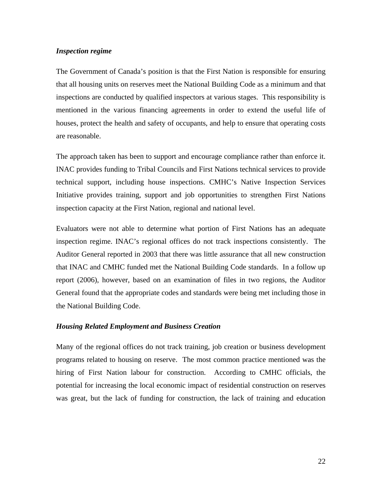#### *Inspection regime*

The Government of Canada's position is that the First Nation is responsible for ensuring that all housing units on reserves meet the National Building Code as a minimum and that inspections are conducted by qualified inspectors at various stages. This responsibility is mentioned in the various financing agreements in order to extend the useful life of houses, protect the health and safety of occupants, and help to ensure that operating costs are reasonable.

The approach taken has been to support and encourage compliance rather than enforce it. INAC provides funding to Tribal Councils and First Nations technical services to provide technical support, including house inspections. CMHC's Native Inspection Services Initiative provides training, support and job opportunities to strengthen First Nations inspection capacity at the First Nation, regional and national level.

Evaluators were not able to determine what portion of First Nations has an adequate inspection regime. INAC's regional offices do not track inspections consistently. The Auditor General reported in 2003 that there was little assurance that all new construction that INAC and CMHC funded met the National Building Code standards. In a follow up report (2006), however, based on an examination of files in two regions, the Auditor General found that the appropriate codes and standards were being met including those in the National Building Code.

#### *Housing Related Employment and Business Creation*

Many of the regional offices do not track training, job creation or business development programs related to housing on reserve. The most common practice mentioned was the hiring of First Nation labour for construction. According to CMHC officials, the potential for increasing the local economic impact of residential construction on reserves was great, but the lack of funding for construction, the lack of training and education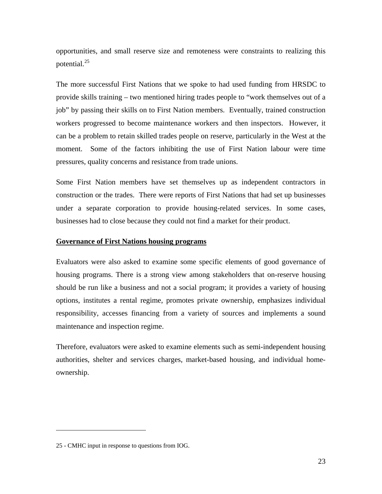<span id="page-24-0"></span>opportunities, and small reserve size and remoteness were constraints to realizing this potential.<sup>[25](#page-24-0)</sup>

The more successful First Nations that we spoke to had used funding from HRSDC to provide skills training – two mentioned hiring trades people to "work themselves out of a job" by passing their skills on to First Nation members. Eventually, trained construction workers progressed to become maintenance workers and then inspectors. However, it can be a problem to retain skilled trades people on reserve, particularly in the West at the moment. Some of the factors inhibiting the use of First Nation labour were time pressures, quality concerns and resistance from trade unions.

Some First Nation members have set themselves up as independent contractors in construction or the trades. There were reports of First Nations that had set up businesses under a separate corporation to provide housing-related services. In some cases, businesses had to close because they could not find a market for their product.

#### **Governance of First Nations housing programs**

Evaluators were also asked to examine some specific elements of good governance of housing programs. There is a strong view among stakeholders that on-reserve housing should be run like a business and not a social program; it provides a variety of housing options, institutes a rental regime, promotes private ownership, emphasizes individual responsibility, accesses financing from a variety of sources and implements a sound maintenance and inspection regime.

Therefore, evaluators were asked to examine elements such as semi-independent housing authorities, shelter and services charges, market-based housing, and individual homeownership.

<sup>25 -</sup> CMHC input in response to questions from IOG.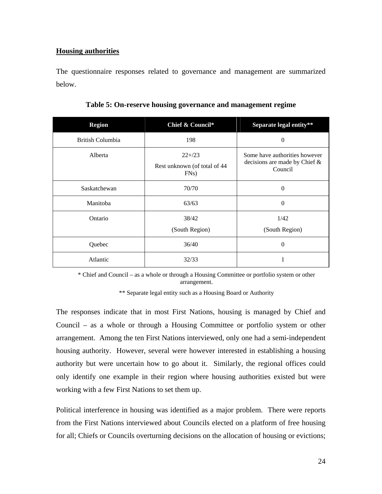#### <span id="page-25-0"></span>**Housing authorities**

The questionnaire responses related to governance and management are summarized below.

| <b>Region</b>    | Chief & Council*                                             | Separate legal entity**                                                   |
|------------------|--------------------------------------------------------------|---------------------------------------------------------------------------|
| British Columbia | 198                                                          | 0                                                                         |
| Alberta          | $22+23$<br>Rest unknown (of total of 44<br>FN <sub>s</sub> ) | Some have authorities however<br>decisions are made by Chief &<br>Council |
| Saskatchewan     | 70/70                                                        | 0                                                                         |
| Manitoba         | 63/63                                                        | $\Omega$                                                                  |
| Ontario          | 38/42<br>(South Region)                                      | 1/42<br>(South Region)                                                    |
| Quebec           | 36/40                                                        | $\theta$                                                                  |
| Atlantic         | 32/33                                                        |                                                                           |

|  | Table 5: On-reserve housing governance and management regime |  |
|--|--------------------------------------------------------------|--|
|  |                                                              |  |
|  |                                                              |  |
|  |                                                              |  |

\* Chief and Council – as a whole or through a Housing Committee or portfolio system or other arrangement.

\*\* Separate legal entity such as a Housing Board or Authority

The responses indicate that in most First Nations, housing is managed by Chief and Council – as a whole or through a Housing Committee or portfolio system or other arrangement. Among the ten First Nations interviewed, only one had a semi-independent housing authority. However, several were however interested in establishing a housing authority but were uncertain how to go about it. Similarly, the regional offices could only identify one example in their region where housing authorities existed but were working with a few First Nations to set them up.

Political interference in housing was identified as a major problem. There were reports from the First Nations interviewed about Councils elected on a platform of free housing for all; Chiefs or Councils overturning decisions on the allocation of housing or evictions;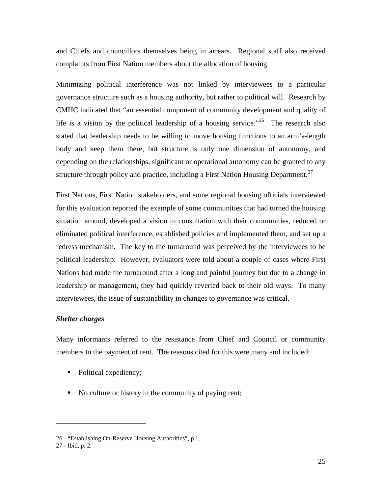<span id="page-26-0"></span>and Chiefs and councillors themselves being in arrears. Regional staff also received complaints from First Nation members about the allocation of housing.

Minimizing political interference was not linked by interviewees to a particular governance structure such as a housing authority, but rather to political will. Research by CMHC indicated that "an essential component of community development and quality of life is a vision by the political leadership of a housing service."<sup>[26](#page-26-0)</sup> The research also stated that leadership needs to be willing to move housing functions to an arm's-length body and keep them there, but structure is only one dimension of autonomy, and depending on the relationships, significant or operational autonomy can be granted to any structure through policy and practice, including a First Nation Housing Department.<sup>27</sup>

First Nations, First Nation stakeholders, and some regional housing officials interviewed for this evaluation reported the example of some communities that had turned the housing situation around, developed a vision in consultation with their communities, reduced or eliminated political interference, established policies and implemented them, and set up a redress mechanism. The key to the turnaround was perceived by the interviewees to be political leadership. However, evaluators were told about a couple of cases where First Nations had made the turnaround after a long and painful journey but due to a change in leadership or management, they had quickly reverted back to their old ways. To many interviewees, the issue of sustainability in changes to governance was critical.

#### *Shelter charges*

Many informants referred to the resistance from Chief and Council or community members to the payment of rent. The reasons cited for this were many and included:

- Political expediency;
- No culture or history in the community of paying rent;

<u>.</u>

<sup>26 - &</sup>quot;Establishing On-Reserve Housing Authorities", p.1.

<sup>27 -</sup> Ibid, p. 2.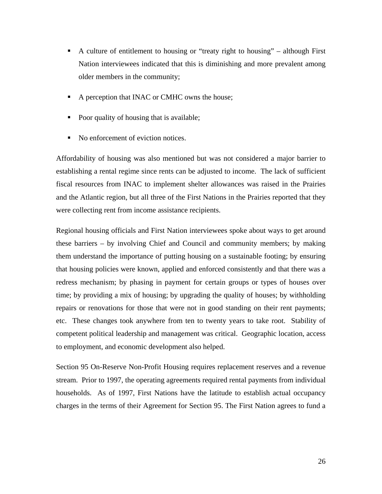- A culture of entitlement to housing or "treaty right to housing" although First Nation interviewees indicated that this is diminishing and more prevalent among older members in the community;
- A perception that INAC or CMHC owns the house;
- Poor quality of housing that is available;
- No enforcement of eviction notices.

Affordability of housing was also mentioned but was not considered a major barrier to establishing a rental regime since rents can be adjusted to income. The lack of sufficient fiscal resources from INAC to implement shelter allowances was raised in the Prairies and the Atlantic region, but all three of the First Nations in the Prairies reported that they were collecting rent from income assistance recipients.

Regional housing officials and First Nation interviewees spoke about ways to get around these barriers – by involving Chief and Council and community members; by making them understand the importance of putting housing on a sustainable footing; by ensuring that housing policies were known, applied and enforced consistently and that there was a redress mechanism; by phasing in payment for certain groups or types of houses over time; by providing a mix of housing; by upgrading the quality of houses; by withholding repairs or renovations for those that were not in good standing on their rent payments; etc. These changes took anywhere from ten to twenty years to take root. Stability of competent political leadership and management was critical. Geographic location, access to employment, and economic development also helped.

Section 95 On-Reserve Non-Profit Housing requires replacement reserves and a revenue stream. Prior to 1997, the operating agreements required rental payments from individual households. As of 1997, First Nations have the latitude to establish actual occupancy charges in the terms of their Agreement for Section 95. The First Nation agrees to fund a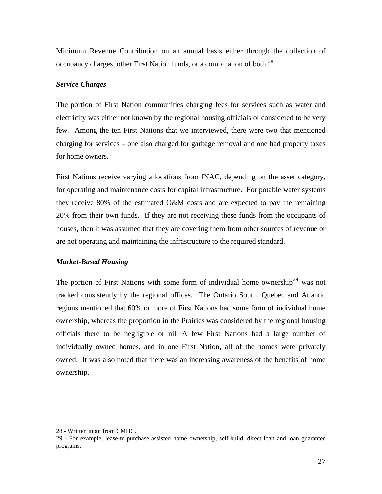<span id="page-28-0"></span>Minimum Revenue Contribution on an annual basis either through the collection of occupancy charges, other First Nation funds, or a combination of both.<sup>[28](#page-28-0)</sup>

#### *Service Charges*

The portion of First Nation communities charging fees for services such as water and electricity was either not known by the regional housing officials or considered to be very few. Among the ten First Nations that we interviewed, there were two that mentioned charging for services – one also charged for garbage removal and one had property taxes for home owners.

First Nations receive varying allocations from INAC, depending on the asset category, for operating and maintenance costs for capital infrastructure. For potable water systems they receive 80% of the estimated O&M costs and are expected to pay the remaining 20% from their own funds. If they are not receiving these funds from the occupants of houses, then it was assumed that they are covering them from other sources of revenue or are not operating and maintaining the infrastructure to the required standard.

#### *Market-Based Housing*

The portion of First Nations with some form of individual home ownership<sup>[29](#page-28-0)</sup> was not tracked consistently by the regional offices. The Ontario South, Quebec and Atlantic regions mentioned that 60% or more of First Nations had some form of individual home ownership, whereas the proportion in the Prairies was considered by the regional housing officials there to be negligible or nil. A few First Nations had a large number of individually owned homes, and in one First Nation, all of the homes were privately owned. It was also noted that there was an increasing awareness of the benefits of home ownership.

<sup>28 -</sup> Written input from CMHC.

<sup>29 -</sup> For example, lease-to-purchase assisted home ownership, self-build, direct loan and loan guarantee programs.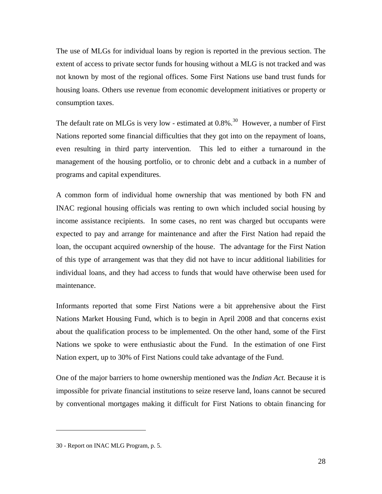<span id="page-29-0"></span>The use of MLGs for individual loans by region is reported in the previous section. The extent of access to private sector funds for housing without a MLG is not tracked and was not known by most of the regional offices. Some First Nations use band trust funds for housing loans. Others use revenue from economic development initiatives or property or consumption taxes.

The default rate on MLGs is very low - estimated at  $0.8\%$ .<sup>[30](#page-29-0)</sup> However, a number of First Nations reported some financial difficulties that they got into on the repayment of loans, even resulting in third party intervention. This led to either a turnaround in the management of the housing portfolio, or to chronic debt and a cutback in a number of programs and capital expenditures.

A common form of individual home ownership that was mentioned by both FN and INAC regional housing officials was renting to own which included social housing by income assistance recipients. In some cases, no rent was charged but occupants were expected to pay and arrange for maintenance and after the First Nation had repaid the loan, the occupant acquired ownership of the house. The advantage for the First Nation of this type of arrangement was that they did not have to incur additional liabilities for individual loans, and they had access to funds that would have otherwise been used for maintenance.

Informants reported that some First Nations were a bit apprehensive about the First Nations Market Housing Fund, which is to begin in April 2008 and that concerns exist about the qualification process to be implemented. On the other hand, some of the First Nations we spoke to were enthusiastic about the Fund. In the estimation of one First Nation expert, up to 30% of First Nations could take advantage of the Fund.

One of the major barriers to home ownership mentioned was the *Indian Act.* Because it is impossible for private financial institutions to seize reserve land, loans cannot be secured by conventional mortgages making it difficult for First Nations to obtain financing for

<sup>30 -</sup> Report on INAC MLG Program, p. 5.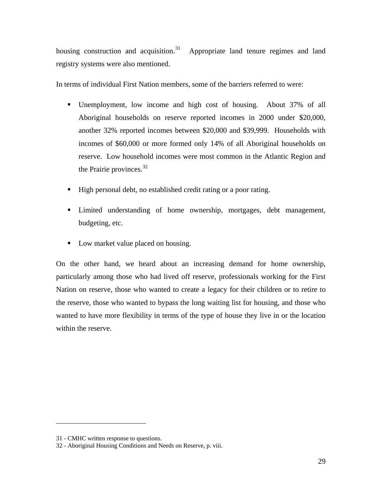<span id="page-30-0"></span>housing construction and acquisition.<sup>[31](#page-30-0)</sup> Appropriate land tenure regimes and land registry systems were also mentioned.

In terms of individual First Nation members, some of the barriers referred to were:

- Unemployment, low income and high cost of housing. About 37% of all Aboriginal households on reserve reported incomes in 2000 under \$20,000, another 32% reported incomes between \$20,000 and \$39,999. Households with incomes of \$60,000 or more formed only 14% of all Aboriginal households on reserve. Low household incomes were most common in the Atlantic Region and the Prairie provinces.<sup>[32](#page-30-0)</sup>
- High personal debt, no established credit rating or a poor rating.
- **EXECUTE:** Limited understanding of home ownership, mortgages, debt management, budgeting, etc.
- Low market value placed on housing.

On the other hand, we heard about an increasing demand for home ownership, particularly among those who had lived off reserve, professionals working for the First Nation on reserve, those who wanted to create a legacy for their children or to retire to the reserve, those who wanted to bypass the long waiting list for housing, and those who wanted to have more flexibility in terms of the type of house they live in or the location within the reserve.

<sup>31 -</sup> CMHC written response to questions.

<sup>32 -</sup> Aboriginal Housing Conditions and Needs on Reserve, p. viii.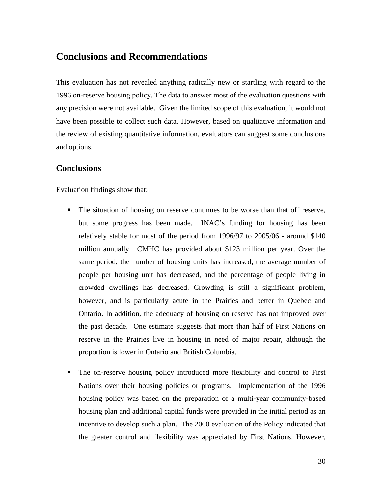## <span id="page-31-0"></span>**Conclusions and Recommendations**

This evaluation has not revealed anything radically new or startling with regard to the 1996 on-reserve housing policy. The data to answer most of the evaluation questions with any precision were not available. Given the limited scope of this evaluation, it would not have been possible to collect such data. However, based on qualitative information and the review of existing quantitative information, evaluators can suggest some conclusions and options.

#### **Conclusions**

Evaluation findings show that:

- The situation of housing on reserve continues to be worse than that off reserve, but some progress has been made. INAC's funding for housing has been relatively stable for most of the period from 1996/97 to 2005/06 - around \$140 million annually. CMHC has provided about \$123 million per year. Over the same period, the number of housing units has increased, the average number of people per housing unit has decreased, and the percentage of people living in crowded dwellings has decreased. Crowding is still a significant problem, however, and is particularly acute in the Prairies and better in Quebec and Ontario. In addition, the adequacy of housing on reserve has not improved over the past decade. One estimate suggests that more than half of First Nations on reserve in the Prairies live in housing in need of major repair, although the proportion is lower in Ontario and British Columbia.
- The on-reserve housing policy introduced more flexibility and control to First Nations over their housing policies or programs. Implementation of the 1996 housing policy was based on the preparation of a multi-year community-based housing plan and additional capital funds were provided in the initial period as an incentive to develop such a plan. The 2000 evaluation of the Policy indicated that the greater control and flexibility was appreciated by First Nations. However,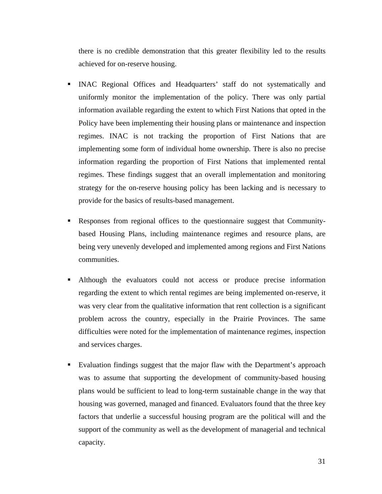there is no credible demonstration that this greater flexibility led to the results achieved for on-reserve housing.

- INAC Regional Offices and Headquarters' staff do not systematically and uniformly monitor the implementation of the policy. There was only partial information available regarding the extent to which First Nations that opted in the Policy have been implementing their housing plans or maintenance and inspection regimes. INAC is not tracking the proportion of First Nations that are implementing some form of individual home ownership. There is also no precise information regarding the proportion of First Nations that implemented rental regimes. These findings suggest that an overall implementation and monitoring strategy for the on-reserve housing policy has been lacking and is necessary to provide for the basics of results-based management.
- Responses from regional offices to the questionnaire suggest that Communitybased Housing Plans, including maintenance regimes and resource plans, are being very unevenly developed and implemented among regions and First Nations communities.
- Although the evaluators could not access or produce precise information regarding the extent to which rental regimes are being implemented on-reserve, it was very clear from the qualitative information that rent collection is a significant problem across the country, especially in the Prairie Provinces. The same difficulties were noted for the implementation of maintenance regimes, inspection and services charges.
- Evaluation findings suggest that the major flaw with the Department's approach was to assume that supporting the development of community-based housing plans would be sufficient to lead to long-term sustainable change in the way that housing was governed, managed and financed. Evaluators found that the three key factors that underlie a successful housing program are the political will and the support of the community as well as the development of managerial and technical capacity.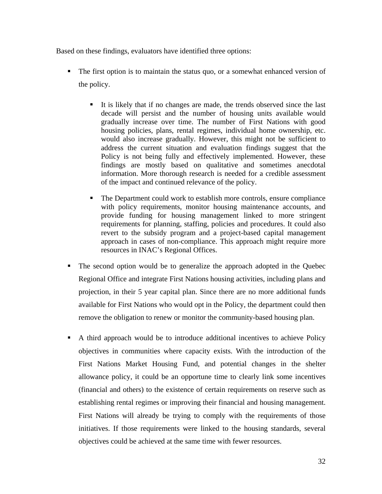Based on these findings, evaluators have identified three options:

- The first option is to maintain the status quo, or a somewhat enhanced version of the policy.
	- It is likely that if no changes are made, the trends observed since the last decade will persist and the number of housing units available would gradually increase over time. The number of First Nations with good housing policies, plans, rental regimes, individual home ownership, etc. would also increase gradually. However, this might not be sufficient to address the current situation and evaluation findings suggest that the Policy is not being fully and effectively implemented. However, these findings are mostly based on qualitative and sometimes anecdotal information. More thorough research is needed for a credible assessment of the impact and continued relevance of the policy.
	- The Department could work to establish more controls, ensure compliance with policy requirements, monitor housing maintenance accounts, and provide funding for housing management linked to more stringent requirements for planning, staffing, policies and procedures. It could also revert to the subsidy program and a project-based capital management approach in cases of non-compliance. This approach might require more resources in INAC's Regional Offices.
- The second option would be to generalize the approach adopted in the Quebec Regional Office and integrate First Nations housing activities, including plans and projection, in their 5 year capital plan. Since there are no more additional funds available for First Nations who would opt in the Policy, the department could then remove the obligation to renew or monitor the community-based housing plan.
- A third approach would be to introduce additional incentives to achieve Policy objectives in communities where capacity exists. With the introduction of the First Nations Market Housing Fund, and potential changes in the shelter allowance policy, it could be an opportune time to clearly link some incentives (financial and others) to the existence of certain requirements on reserve such as establishing rental regimes or improving their financial and housing management. First Nations will already be trying to comply with the requirements of those initiatives. If those requirements were linked to the housing standards, several objectives could be achieved at the same time with fewer resources.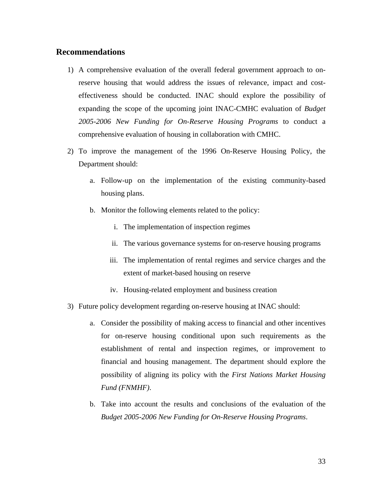#### <span id="page-34-0"></span>**Recommendations**

- 1) A comprehensive evaluation of the overall federal government approach to onreserve housing that would address the issues of relevance, impact and costeffectiveness should be conducted. INAC should explore the possibility of expanding the scope of the upcoming joint INAC-CMHC evaluation of *Budget 2005-2006 New Funding for On-Reserve Housing Programs* to conduct a comprehensive evaluation of housing in collaboration with CMHC.
- 2) To improve the management of the 1996 On-Reserve Housing Policy, the Department should:
	- a. Follow-up on the implementation of the existing community-based housing plans.
	- b. Monitor the following elements related to the policy:
		- i. The implementation of inspection regimes
		- ii. The various governance systems for on-reserve housing programs
		- iii. The implementation of rental regimes and service charges and the extent of market-based housing on reserve
		- iv. Housing-related employment and business creation
- 3) Future policy development regarding on-reserve housing at INAC should:
	- a. Consider the possibility of making access to financial and other incentives for on-reserve housing conditional upon such requirements as the establishment of rental and inspection regimes, or improvement to financial and housing management. The department should explore the possibility of aligning its policy with the *First Nations Market Housing Fund (FNMHF)*.
	- b. Take into account the results and conclusions of the evaluation of the *Budget 2005-2006 New Funding for On-Reserve Housing Programs*.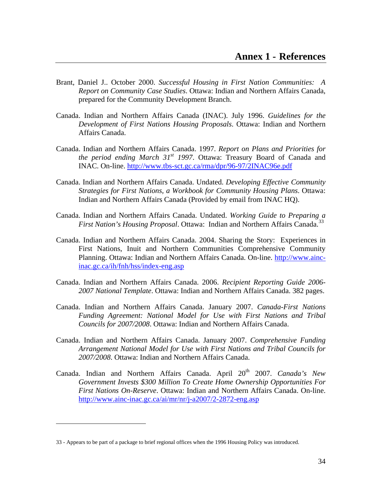- <span id="page-35-0"></span>Brant, Daniel J.. October 2000. *Successful Housing in First Nation Communities: A Report on Community Case Studies*. Ottawa: Indian and Northern Affairs Canada, prepared for the Community Development Branch.
- Canada. Indian and Northern Affairs Canada (INAC). July 1996. *Guidelines for the Development of First Nations Housing Proposals*. Ottawa: Indian and Northern Affairs Canada.
- Canada. Indian and Northern Affairs Canada. 1997. *Report on Plans and Priorities for the period ending March 31st 1997*. Ottawa: Treasury Board of Canada and INAC. On-line.<http://www.tbs-sct.gc.ca/rma/dpr/96-97/2INAC96e.pdf>
- Canada. Indian and Northern Affairs Canada. Undated. *Developing Effective Community Strategies for First Nations, a Workbook for Community Housing Plans*. Ottawa: Indian and Northern Affairs Canada (Provided by email from INAC HQ).
- Canada. Indian and Northern Affairs Canada. Undated. *Working Guide to Preparing a First Nation's Housing Proposal.* Ottawa: Indian and Northern Affairs Canada.<sup>[33](#page-35-0)</sup>
- Canada. Indian and Northern Affairs Canada. 2004. Sharing the Story: Experiences in First Nations, Inuit and Northern Communities Comprehensive Community Planning. Ottawa: Indian and Northern Affairs Canada. On-line. [http://www.ainc](http://www.ainc-inac.gc.ca/ih/fnh/hss/index-eng.asp)[inac.gc.ca/ih/fnh/hss/index-eng.asp](http://www.ainc-inac.gc.ca/ih/fnh/hss/index-eng.asp)
- Canada. Indian and Northern Affairs Canada. 2006. *Recipient Reporting Guide 2006- 2007 National Template*. Ottawa: Indian and Northern Affairs Canada. 382 pages.
- Canada. Indian and Northern Affairs Canada. January 2007. *Canada-First Nations Funding Agreement: National Model for Use with First Nations and Tribal Councils for 2007/2008*. Ottawa: Indian and Northern Affairs Canada.
- Canada. Indian and Northern Affairs Canada. January 2007. *Comprehensive Funding Arrangement National Model for Use with First Nations and Tribal Councils for 2007/2008*. Ottawa: Indian and Northern Affairs Canada.
- Canada. Indian and Northern Affairs Canada. April 20<sup>th</sup> 2007. *Canada's New Government Invests \$300 Million To Create Home Ownership Opportunities For First Nations On-Reserve*. Ottawa: Indian and Northern Affairs Canada. On-line. <http://www.ainc-inac.gc.ca/ai/mr/nr/j-a2007/2-2872-eng.asp>

<sup>33 -</sup> Appears to be part of a package to brief regional offices when the 1996 Housing Policy was introduced.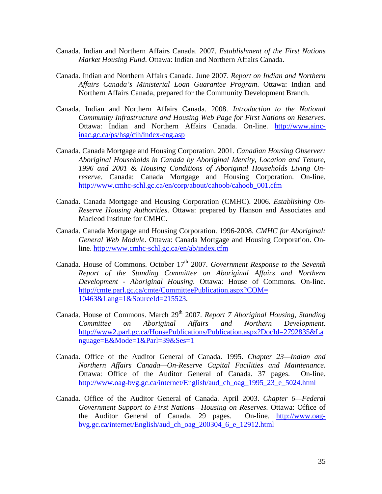- Canada. Indian and Northern Affairs Canada. 2007. *Establishment of the First Nations Market Housing Fund*. Ottawa: Indian and Northern Affairs Canada.
- Canada. Indian and Northern Affairs Canada. June 2007. *Report on Indian and Northern Affairs Canada's Ministerial Loan Guarantee Program*. Ottawa: Indian and Northern Affairs Canada, prepared for the Community Development Branch.
- Canada. Indian and Northern Affairs Canada. 2008. *Introduction to the National Community Infrastructure and Housing Web Page for First Nations on Reserves*. Ottawa: Indian and Northern Affairs Canada. On-line. [http://www.ainc](http://www.ainc-inac.gc.ca/ps/hsg/cih/index-eng.asp)[inac.gc.ca/ps/hsg/cih/index-eng.asp](http://www.ainc-inac.gc.ca/ps/hsg/cih/index-eng.asp)
- Canada. Canada Mortgage and Housing Corporation. 2001. *Canadian Housing Observer: Aboriginal Households in Canada by Aboriginal Identity, Location and Tenure, 1996 and 2001* & *Housing Conditions of Aboriginal Households Living Onreserve*. Canada: Canada Mortgage and Housing Corporation. On-line. [http://www.cmhc-schl.gc.ca/en/corp/about/cahoob/cahoob\\_001.cfm](http://www.cmhc-schl.gc.ca/en/corp/about/cahoob/cahoob_001.cfm)
- Canada. Canada Mortgage and Housing Corporation (CMHC). 2006. *Establishing On-Reserve Housing Authorities*. Ottawa: prepared by Hanson and Associates and Macleod Institute for CMHC.
- Canada. Canada Mortgage and Housing Corporation. 1996-2008. *CMHC for Aboriginal: General Web Module*. Ottawa: Canada Mortgage and Housing Corporation. Online.<http://www.cmhc-schl.gc.ca/en/ab/index.cfm>
- Canada. House of Commons. October 17<sup>th</sup> 2007. *Government Response to the Seventh Report of the Standing Committee on Aboriginal Affairs and Northern Development - Aboriginal Housing*. Ottawa: House of Commons. On-line. [http://cmte.parl.gc.ca/cmte/CommitteePublication.aspx?COM=](http://cmte.parl.gc.ca/cmte/CommitteePublication.aspx?COM=%2010463&Lang=1&SourceId=215523)  [10463&Lang=1&SourceId=215523](http://cmte.parl.gc.ca/cmte/CommitteePublication.aspx?COM=%2010463&Lang=1&SourceId=215523).
- Canada. House of Commons. March 29<sup>th</sup> 2007. *Report 7 Aboriginal Housing, Standing Committee on Aboriginal Affairs and Northern Development*. [http://www2.parl.gc.ca/HousePublications/Publication.aspx?DocId=2792835&La](http://www2.parl.gc.ca/HousePublications/Publication.aspx?DocId=2792835&Language=E&Mode=1&Parl=39&Ses=1) [nguage=E&Mode=1&Parl=39&Ses=1](http://www2.parl.gc.ca/HousePublications/Publication.aspx?DocId=2792835&Language=E&Mode=1&Parl=39&Ses=1)
- Canada. Office of the Auditor General of Canada. 1995. *Chapter 23—Indian and Northern Affairs Canada—On-Reserve Capital Facilities and Maintenance*. Ottawa: Office of the Auditor General of Canada. 37 pages. On-line. [http://www.oag-bvg.gc.ca/internet/English/aud\\_ch\\_oag\\_1995\\_23\\_e\\_5024.html](http://www.oag-bvg.gc.ca/internet/English/aud_ch_oag_1995_23_e_5024.html)
- Canada. Office of the Auditor General of Canada. April 2003. *Chapter 6—Federal Government Support to First Nations—Housing on Reserves*. Ottawa: Office of the Auditor General of Canada. 29 pages. On-line. [http://www.oag](http://www.oag-bvg.gc.ca/internet/English/aud_ch_oag_200304_6_e_12912.html)[bvg.gc.ca/internet/English/aud\\_ch\\_oag\\_200304\\_6\\_e\\_12912.html](http://www.oag-bvg.gc.ca/internet/English/aud_ch_oag_200304_6_e_12912.html)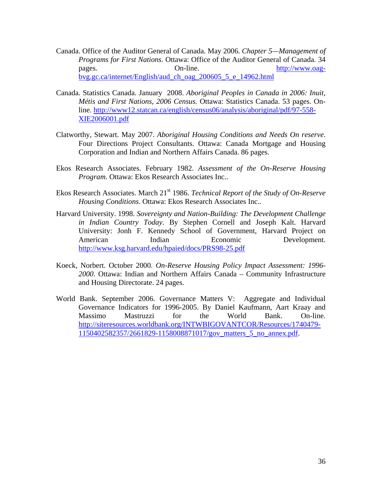- Canada. Office of the Auditor General of Canada. May 2006. *Chapter 5—Management of Programs for First Nations*. Ottawa: Office of the Auditor General of Canada. 34 pages. On-line. [http://www.oag](http://www.oag-bvg.gc.ca/internet/English/aud_ch_oag_200605_5_e_14962.html)[bvg.gc.ca/internet/English/aud\\_ch\\_oag\\_200605\\_5\\_e\\_14962.html](http://www.oag-bvg.gc.ca/internet/English/aud_ch_oag_200605_5_e_14962.html)
- Canada. Statistics Canada. January 2008. *Aboriginal Peoples in Canada in 2006: Inuit, Métis and First Nations, 2006 Census.* Ottawa: Statistics Canada. 53 pages. Online. [http://www12.statcan.ca/english/census06/analysis/aboriginal/pdf/97-558-](http://www12.statcan.ca/english/census06/analysis/aboriginal/pdf/97-558-XIE2006001.pdf) [XIE2006001.pdf](http://www12.statcan.ca/english/census06/analysis/aboriginal/pdf/97-558-XIE2006001.pdf)
- Clatworthy, Stewart. May 2007. *Aboriginal Housing Conditions and Needs On reserve*. Four Directions Project Consultants. Ottawa: Canada Mortgage and Housing Corporation and Indian and Northern Affairs Canada. 86 pages.
- Ekos Research Associates. February 1982. *Assessment of the On-Reserve Housing Program*. Ottawa: Ekos Research Associates Inc..
- Ekos Research Associates. March 21<sup>st</sup> 1986. *Technical Report of the Study of On-Reserve Housing Conditions*. Ottawa: Ekos Research Associates Inc..
- Harvard University. 1998. *Sovereignty and Nation-Building: The Development Challenge in Indian Country Today*. By Stephen Cornell and Joseph Kalt. Harvard University: Jonh F. Kennedy School of Government, Harvard Project on American Indian Economic Development. <http://www.ksg.harvard.edu/hpaied/docs/PRS98-25.pdf>
- Koeck, Norbert. October 2000. *On-Reserve Housing Policy Impact Assessment: 1996- 2000*. Ottawa: Indian and Northern Affairs Canada – Community Infrastructure and Housing Directorate. 24 pages.
- World Bank. September 2006. Governance Matters V: Aggregate and Individual Governance Indicators for 1996-2005. By Daniel Kaufmann, Aart Kraay and Massimo Mastruzzi for the World Bank. On-line. [http://siteresources.worldbank.org/INTWBIGOVANTCOR/Resources/1740479-](http://siteresources.worldbank.org/INTWBIGOVANTCOR/Resources/1740479-1150402582357/2661829-1158008871017/gov_matters_5_no_annex.pdf) [1150402582357/2661829-1158008871017/gov\\_matters\\_5\\_no\\_annex.pdf.](http://siteresources.worldbank.org/INTWBIGOVANTCOR/Resources/1740479-1150402582357/2661829-1158008871017/gov_matters_5_no_annex.pdf)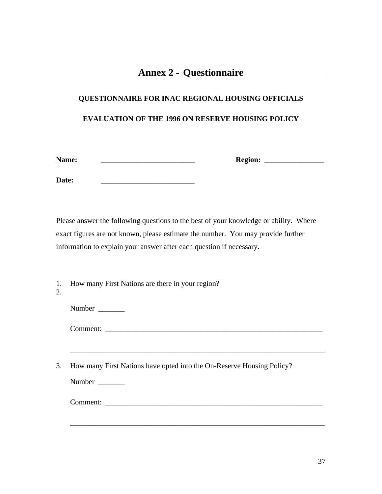# <span id="page-38-0"></span>**QUESTIONNAIRE FOR INAC REGIONAL HOUSING OFFICIALS EVALUATION OF THE 1996 ON RESERVE HOUSING POLICY**

**Name: \_\_\_\_\_\_\_\_\_\_\_\_\_\_\_\_\_\_\_\_\_\_\_\_\_ Region: \_\_\_\_\_\_\_\_\_\_\_\_\_\_\_\_** 

Date:

Please answer the following questions to the best of your knowledge or ability. Where exact figures are not known, please estimate the number. You may provide further information to explain your answer after each question if necessary.

1. How many First Nations are there in your region?

2.

Number

Comment:

3. How many First Nations have opted into the On-Reserve Housing Policy?

\_\_\_\_\_\_\_\_\_\_\_\_\_\_\_\_\_\_\_\_\_\_\_\_\_\_\_\_\_\_\_\_\_\_\_\_\_\_\_\_\_\_\_\_\_\_\_\_\_\_\_\_\_\_\_\_\_\_\_\_\_\_\_\_\_\_\_\_

\_\_\_\_\_\_\_\_\_\_\_\_\_\_\_\_\_\_\_\_\_\_\_\_\_\_\_\_\_\_\_\_\_\_\_\_\_\_\_\_\_\_\_\_\_\_\_\_\_\_\_\_\_\_\_\_\_\_\_\_\_\_\_\_\_\_\_\_

Number \_\_\_\_\_\_\_

Comment: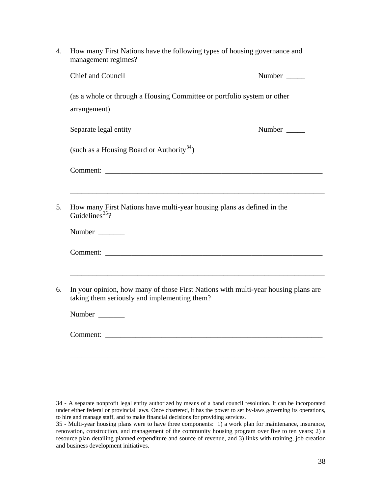<span id="page-39-0"></span>

| 4. | How many First Nations have the following types of housing governance and<br>management regimes?                                   |        |
|----|------------------------------------------------------------------------------------------------------------------------------------|--------|
|    | <b>Chief and Council</b>                                                                                                           | Number |
|    | (as a whole or through a Housing Committee or portfolio system or other<br>arrangement)                                            |        |
|    | Separate legal entity                                                                                                              | Number |
|    | (such as a Housing Board or Authority <sup>34</sup> )                                                                              |        |
|    |                                                                                                                                    |        |
|    |                                                                                                                                    |        |
| 5. | How many First Nations have multi-year housing plans as defined in the<br>Guidelines <sup>35</sup> ?                               |        |
|    | Number                                                                                                                             |        |
|    |                                                                                                                                    |        |
|    |                                                                                                                                    |        |
| 6. | In your opinion, how many of those First Nations with multi-year housing plans are<br>taking them seriously and implementing them? |        |
|    | Number                                                                                                                             |        |
|    | Comment:                                                                                                                           |        |
|    |                                                                                                                                    |        |
|    |                                                                                                                                    |        |
|    |                                                                                                                                    |        |

<sup>34 -</sup> A separate nonprofit legal entity authorized by means of a band council resolution. It can be incorporated under either federal or provincial laws. Once chartered, it has the power to set by-laws governing its operations, to hire and manage staff, and to make financial decisions for providing services.

<sup>35 -</sup> Multi-year housing plans were to have three components: 1) a work plan for maintenance, insurance, renovation, construction, and management of the community housing program over five to ten years; 2) a resource plan detailing planned expenditure and source of revenue, and 3) links with training, job creation and business development initiatives.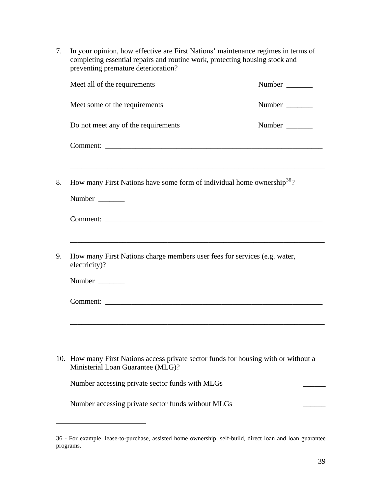<span id="page-40-0"></span>7. In your opinion, how effective are First Nations' maintenance regimes in terms of completing essential repairs and routine work, protecting housing stock and preventing premature deterioration?

|    | Meet all of the requirements                                                               | Number |
|----|--------------------------------------------------------------------------------------------|--------|
|    | Meet some of the requirements                                                              | Number |
|    | Do not meet any of the requirements                                                        | Number |
|    |                                                                                            |        |
|    |                                                                                            |        |
| 8. | How many First Nations have some form of individual home ownership <sup>36</sup> ?         |        |
|    | Number                                                                                     |        |
|    |                                                                                            |        |
|    |                                                                                            |        |
| 9. | How many First Nations charge members user fees for services (e.g. water,<br>electricity)? |        |
|    | Number                                                                                     |        |
|    |                                                                                            |        |
|    |                                                                                            |        |
|    |                                                                                            |        |
|    | 10. How many First Nations access private sector funds for housing with or without a       |        |

10. How many First Nations access private sector funds for housing with or without a Ministerial Loan Guarantee (MLG)?

Number accessing private sector funds with MLGs

 $\overline{a}$ 

Number accessing private sector funds without MLGs

<sup>36 -</sup> For example, lease-to-purchase, assisted home ownership, self-build, direct loan and loan guarantee programs.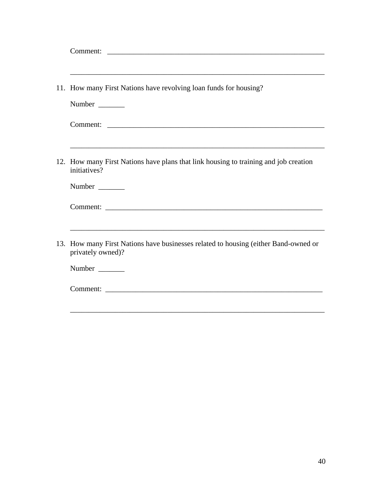| ,我们也不能在这里的时候,我们也不能在这里的时候,我们也不能在这里的时候,我们也不能会在这里的时候,我们也不能会在这里的时候,我们也不能会在这里的时候,我们也不<br>11. How many First Nations have revolving loan funds for housing? |
|-------------------------------------------------------------------------------------------------------------------------------------------------------|
| Number                                                                                                                                                |
|                                                                                                                                                       |
| 12. How many First Nations have plans that link housing to training and job creation<br>initiatives?                                                  |
| Number                                                                                                                                                |
|                                                                                                                                                       |
| 13. How many First Nations have businesses related to housing (either Band-owned or<br>privately owned)?                                              |
| Number                                                                                                                                                |
| Comment:                                                                                                                                              |
|                                                                                                                                                       |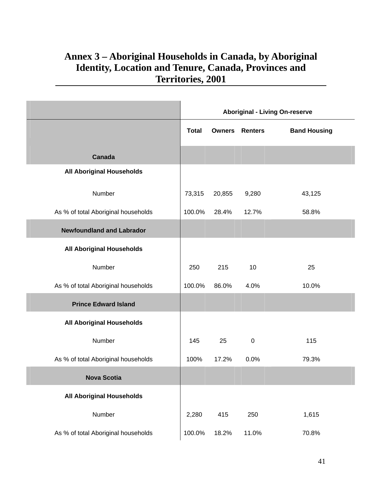## <span id="page-42-0"></span>**Annex 3 – Aboriginal Households in Canada, by Aboriginal Identity, Location and Tenure, Canada, Provinces and Territories, 2001**

|                                     | <b>Aboriginal - Living On-reserve</b> |               |                |                     |
|-------------------------------------|---------------------------------------|---------------|----------------|---------------------|
|                                     | <b>Total</b>                          | <b>Owners</b> | <b>Renters</b> | <b>Band Housing</b> |
| Canada                              |                                       |               |                |                     |
| <b>All Aboriginal Households</b>    |                                       |               |                |                     |
| Number                              | 73,315                                | 20,855        | 9,280          | 43,125              |
| As % of total Aboriginal households | 100.0%                                | 28.4%         | 12.7%          | 58.8%               |
| <b>Newfoundland and Labrador</b>    |                                       |               |                |                     |
| <b>All Aboriginal Households</b>    |                                       |               |                |                     |
| Number                              | 250                                   | 215           | 10             | 25                  |
| As % of total Aboriginal households | 100.0%                                | 86.0%         | 4.0%           | 10.0%               |
| <b>Prince Edward Island</b>         |                                       |               |                |                     |
| <b>All Aboriginal Households</b>    |                                       |               |                |                     |
| Number                              | 145                                   | 25            | $\mathbf 0$    | 115                 |
| As % of total Aboriginal households | 100%                                  | 17.2%         | 0.0%           | 79.3%               |
| <b>Nova Scotia</b>                  |                                       |               |                |                     |
| <b>All Aboriginal Households</b>    |                                       |               |                |                     |
| Number                              | 2,280                                 | 415           | 250            | 1,615               |
| As % of total Aboriginal households | 100.0%                                | 18.2%         | 11.0%          | 70.8%               |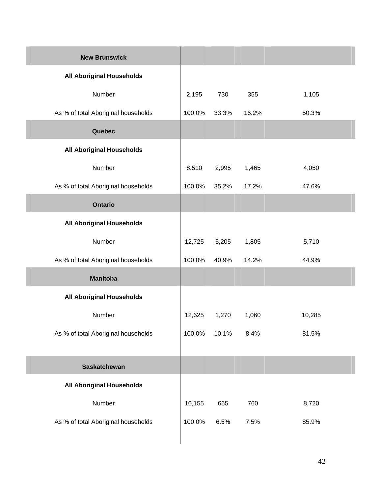| <b>New Brunswick</b>                |        |       |       |        |
|-------------------------------------|--------|-------|-------|--------|
| <b>All Aboriginal Households</b>    |        |       |       |        |
| Number                              | 2,195  | 730   | 355   | 1,105  |
| As % of total Aboriginal households | 100.0% | 33.3% | 16.2% | 50.3%  |
| Quebec                              |        |       |       |        |
| <b>All Aboriginal Households</b>    |        |       |       |        |
| Number                              | 8,510  | 2,995 | 1,465 | 4,050  |
| As % of total Aboriginal households | 100.0% | 35.2% | 17.2% | 47.6%  |
| <b>Ontario</b>                      |        |       |       |        |
| <b>All Aboriginal Households</b>    |        |       |       |        |
| Number                              | 12,725 | 5,205 | 1,805 | 5,710  |
| As % of total Aboriginal households | 100.0% | 40.9% | 14.2% | 44.9%  |
| <b>Manitoba</b>                     |        |       |       |        |
| <b>All Aboriginal Households</b>    |        |       |       |        |
| Number                              | 12,625 | 1,270 | 1,060 | 10,285 |
| As % of total Aboriginal households | 100.0% | 10.1% | 8.4%  | 81.5%  |
|                                     |        |       |       |        |
| <b>Saskatchewan</b>                 |        |       |       |        |
| <b>All Aboriginal Households</b>    |        |       |       |        |
| Number                              | 10,155 | 665   | 760   | 8,720  |
| As % of total Aboriginal households | 100.0% | 6.5%  | 7.5%  | 85.9%  |
|                                     |        |       |       |        |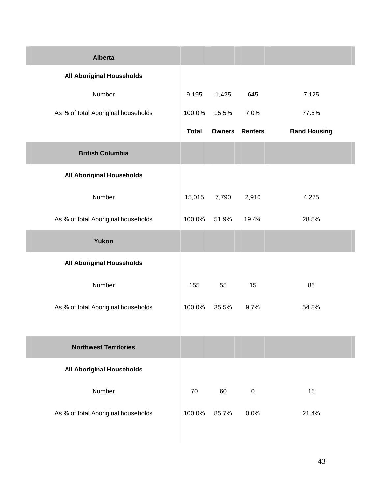| <b>Alberta</b>                      |              |       |                       |                     |
|-------------------------------------|--------------|-------|-----------------------|---------------------|
| <b>All Aboriginal Households</b>    |              |       |                       |                     |
| Number                              | 9,195        | 1,425 | 645                   | 7,125               |
| As % of total Aboriginal households | 100.0%       | 15.5% | 7.0%                  | 77.5%               |
|                                     | <b>Total</b> |       | <b>Owners Renters</b> | <b>Band Housing</b> |
| <b>British Columbia</b>             |              |       |                       |                     |
| <b>All Aboriginal Households</b>    |              |       |                       |                     |
| Number                              | 15,015       | 7,790 | 2,910                 | 4,275               |
| As % of total Aboriginal households | 100.0%       | 51.9% | 19.4%                 | 28.5%               |
| Yukon                               |              |       |                       |                     |
| <b>All Aboriginal Households</b>    |              |       |                       |                     |
| Number                              | 155          | 55    | 15                    | 85                  |
| As % of total Aboriginal households | 100.0%       | 35.5% | 9.7%                  | 54.8%               |
|                                     |              |       |                       |                     |
| <b>Northwest Territories</b>        |              |       |                       |                     |
| <b>All Aboriginal Households</b>    |              |       |                       |                     |
| Number                              | 70           | 60    | $\pmb{0}$             | 15                  |
| As % of total Aboriginal households | 100.0%       | 85.7% | 0.0%                  | 21.4%               |
|                                     |              |       |                       |                     |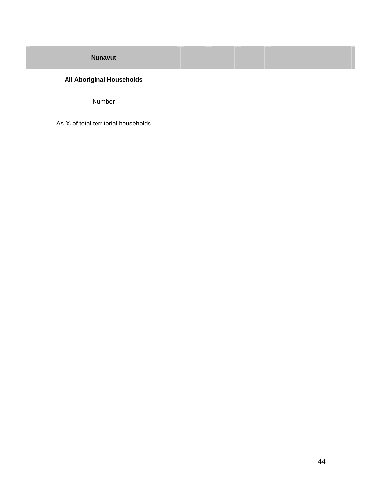| <b>Nunavut</b>                   |  |
|----------------------------------|--|
| <b>All Aboriginal Households</b> |  |

Number

As % of total territorial households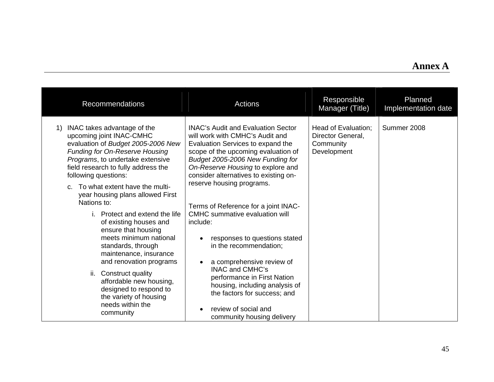## **Annex A**

| <b>Recommendations</b>                                                                                                                                                                                                                                                                                                                                                                                                                                                                                                                                                                                                                                                   | <b>Actions</b>                                                                                                                                                                                                                                                                                                                                                                                                                                                                                                                                                                                                                                                                             | Responsible<br>Manager (Title)                                       | Planned<br>Implementation date |
|--------------------------------------------------------------------------------------------------------------------------------------------------------------------------------------------------------------------------------------------------------------------------------------------------------------------------------------------------------------------------------------------------------------------------------------------------------------------------------------------------------------------------------------------------------------------------------------------------------------------------------------------------------------------------|--------------------------------------------------------------------------------------------------------------------------------------------------------------------------------------------------------------------------------------------------------------------------------------------------------------------------------------------------------------------------------------------------------------------------------------------------------------------------------------------------------------------------------------------------------------------------------------------------------------------------------------------------------------------------------------------|----------------------------------------------------------------------|--------------------------------|
| INAC takes advantage of the<br>1)<br>upcoming joint INAC-CMHC<br>evaluation of Budget 2005-2006 New<br><b>Funding for On-Reserve Housing</b><br>Programs, to undertake extensive<br>field research to fully address the<br>following questions:<br>c. To what extent have the multi-<br>year housing plans allowed First<br>Nations to:<br>i. Protect and extend the life<br>of existing houses and<br>ensure that housing<br>meets minimum national<br>standards, through<br>maintenance, insurance<br>and renovation programs<br>ii. Construct quality<br>affordable new housing,<br>designed to respond to<br>the variety of housing<br>needs within the<br>community | <b>INAC's Audit and Evaluation Sector</b><br>will work with CMHC's Audit and<br>Evaluation Services to expand the<br>scope of the upcoming evaluation of<br>Budget 2005-2006 New Funding for<br>On-Reserve Housing to explore and<br>consider alternatives to existing on-<br>reserve housing programs.<br>Terms of Reference for a joint INAC-<br><b>CMHC</b> summative evaluation will<br>include:<br>responses to questions stated<br>in the recommendation;<br>a comprehensive review of<br>$\bullet$<br><b>INAC and CMHC's</b><br>performance in First Nation<br>housing, including analysis of<br>the factors for success; and<br>review of social and<br>community housing delivery | Head of Evaluation;<br>Director General,<br>Community<br>Development | Summer 2008                    |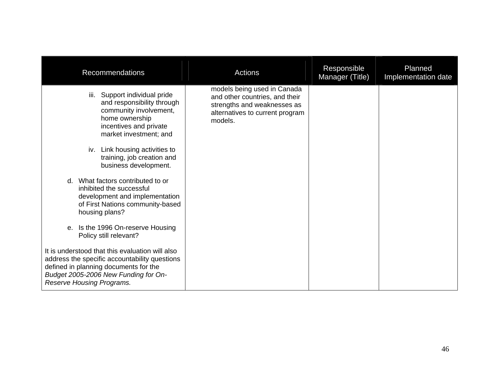| <b>Recommendations</b>                                                                                                                                                                                                                                                                                                                                                                                                                                                                                                                                                                                                                                                                                         | Actions                                                                                                                                    | Responsible<br>Manager (Title) | Planned<br>Implementation date |
|----------------------------------------------------------------------------------------------------------------------------------------------------------------------------------------------------------------------------------------------------------------------------------------------------------------------------------------------------------------------------------------------------------------------------------------------------------------------------------------------------------------------------------------------------------------------------------------------------------------------------------------------------------------------------------------------------------------|--------------------------------------------------------------------------------------------------------------------------------------------|--------------------------------|--------------------------------|
| Support individual pride<br>iii.<br>and responsibility through<br>community involvement,<br>home ownership<br>incentives and private<br>market investment; and<br>iv. Link housing activities to<br>training, job creation and<br>business development.<br>What factors contributed to or<br>$\mathsf{d}$<br>inhibited the successful<br>development and implementation<br>of First Nations community-based<br>housing plans?<br>e. Is the 1996 On-reserve Housing<br>Policy still relevant?<br>It is understood that this evaluation will also<br>address the specific accountability questions<br>defined in planning documents for the<br>Budget 2005-2006 New Funding for On-<br>Reserve Housing Programs. | models being used in Canada<br>and other countries, and their<br>strengths and weaknesses as<br>alternatives to current program<br>models. |                                |                                |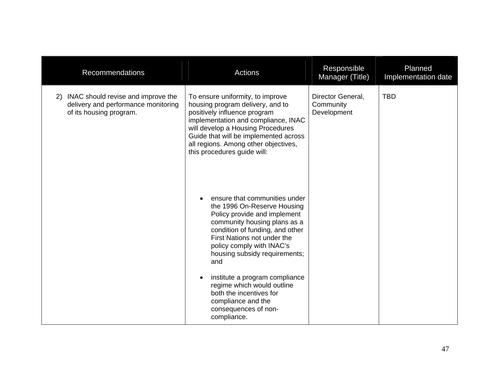| <b>Recommendations</b>                                                                                     | <b>Actions</b>                                                                                                                                                                                                                                                                                                                                                                                                              | Responsible<br>Manager (Title)                | Planned<br>Implementation date |
|------------------------------------------------------------------------------------------------------------|-----------------------------------------------------------------------------------------------------------------------------------------------------------------------------------------------------------------------------------------------------------------------------------------------------------------------------------------------------------------------------------------------------------------------------|-----------------------------------------------|--------------------------------|
| INAC should revise and improve the<br>2)<br>delivery and performance monitoring<br>of its housing program. | To ensure uniformity, to improve<br>housing program delivery, and to<br>positively influence program<br>implementation and compliance, INAC<br>will develop a Housing Procedures<br>Guide that will be implemented across<br>all regions. Among other objectives,<br>this procedures guide will:                                                                                                                            | Director General,<br>Community<br>Development | <b>TBD</b>                     |
|                                                                                                            | ensure that communities under<br>the 1996 On-Reserve Housing<br>Policy provide and implement<br>community housing plans as a<br>condition of funding, and other<br>First Nations not under the<br>policy comply with INAC's<br>housing subsidy requirements;<br>and<br>institute a program compliance<br>regime which would outline<br>both the incentives for<br>compliance and the<br>consequences of non-<br>compliance. |                                               |                                |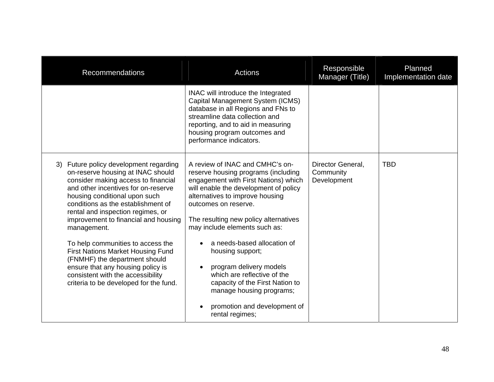| <b>Recommendations</b>                                                                                                                                                                                                                                                                                                                                                                                                                                                                                                                                                | <b>Actions</b>                                                                                                                                                                                                                                                                                                                                                                                                                                                                                                                           | Responsible<br>Manager (Title)                | Planned<br>Implementation date |
|-----------------------------------------------------------------------------------------------------------------------------------------------------------------------------------------------------------------------------------------------------------------------------------------------------------------------------------------------------------------------------------------------------------------------------------------------------------------------------------------------------------------------------------------------------------------------|------------------------------------------------------------------------------------------------------------------------------------------------------------------------------------------------------------------------------------------------------------------------------------------------------------------------------------------------------------------------------------------------------------------------------------------------------------------------------------------------------------------------------------------|-----------------------------------------------|--------------------------------|
|                                                                                                                                                                                                                                                                                                                                                                                                                                                                                                                                                                       | INAC will introduce the Integrated<br>Capital Management System (ICMS)<br>database in all Regions and FNs to<br>streamline data collection and<br>reporting, and to aid in measuring<br>housing program outcomes and<br>performance indicators.                                                                                                                                                                                                                                                                                          |                                               |                                |
| Future policy development regarding<br>3)<br>on-reserve housing at INAC should<br>consider making access to financial<br>and other incentives for on-reserve<br>housing conditional upon such<br>conditions as the establishment of<br>rental and inspection regimes, or<br>improvement to financial and housing<br>management.<br>To help communities to access the<br><b>First Nations Market Housing Fund</b><br>(FNMHF) the department should<br>ensure that any housing policy is<br>consistent with the accessibility<br>criteria to be developed for the fund. | A review of INAC and CMHC's on-<br>reserve housing programs (including<br>engagement with First Nations) which<br>will enable the development of policy<br>alternatives to improve housing<br>outcomes on reserve.<br>The resulting new policy alternatives<br>may include elements such as:<br>a needs-based allocation of<br>housing support;<br>program delivery models<br>$\bullet$<br>which are reflective of the<br>capacity of the First Nation to<br>manage housing programs;<br>promotion and development of<br>rental regimes; | Director General,<br>Community<br>Development | <b>TBD</b>                     |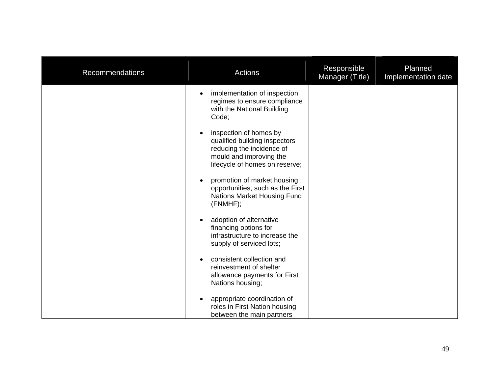| Recommendations | Actions                                                                                                                                           | Responsible<br>Manager (Title) | Planned<br>Implementation date |
|-----------------|---------------------------------------------------------------------------------------------------------------------------------------------------|--------------------------------|--------------------------------|
|                 | implementation of inspection<br>$\bullet$<br>regimes to ensure compliance<br>with the National Building<br>Code;                                  |                                |                                |
|                 | inspection of homes by<br>qualified building inspectors<br>reducing the incidence of<br>mould and improving the<br>lifecycle of homes on reserve; |                                |                                |
|                 | promotion of market housing<br>$\bullet$<br>opportunities, such as the First<br>Nations Market Housing Fund<br>(FNMHF);                           |                                |                                |
|                 | adoption of alternative<br>financing options for<br>infrastructure to increase the<br>supply of serviced lots;                                    |                                |                                |
|                 | consistent collection and<br>reinvestment of shelter<br>allowance payments for First<br>Nations housing;                                          |                                |                                |
|                 | appropriate coordination of<br>roles in First Nation housing<br>between the main partners                                                         |                                |                                |